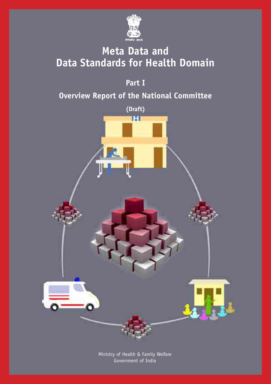

### **Meta Data and Data Standards for Health Domain**

**Part I**

### **Overview Report of the National Committee**



Ministry of Health & Family Welfare Government of India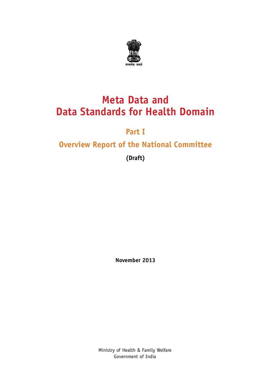

### **Meta Data and Data Standards for Health Domain**

### **Part I**

### **Overview Report of the National Committee**

**(Draft)**

**November 2013**

Ministry of Health & Family Welfare Government of India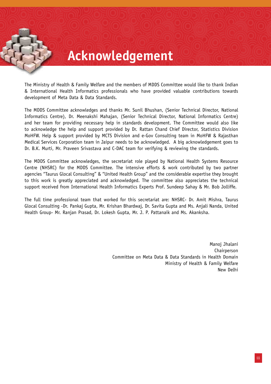## **Acknowledgement**

The Ministry of Health & Family Welfare and the members of MDDS Committee would like to thank Indian & International Health Informatics professionals who have provided valuable contributions towards development of Meta Data & Data Standards.

The MDDS Committee acknowledges and thanks Mr. Sunil Bhushan, (Senior Technical Director, National Informatics Centre), Dr. Meenakshi Mahajan, (Senior Technical Director, National Informatics Centre) and her team for providing necessary help in standards development. The Committee would also like to acknowledge the help and support provided by Dr. Rattan Chand Chief Director, Statistics Division MoHFW. Help & support provided by MCTS Division and e-Gov Consulting team in MoHFW & Rajasthan Medical Services Corporation team in Jaipur needs to be acknowledged. A big acknowledgement goes to Dr. B.K. Murti, Mr. Praveen Srivastava and C-DAC team for verifying & reviewing the standards.

The MDDS Committee acknowledges, the secretariat role played by National Health Systems Resource Centre (NHSRC) for the MDDS Committee. The intensive efforts & work contributed by two partner agencies "Taurus Glocal Consulting" & "United Health Group" and the considerable expertise they brought to this work is greatly appreciated and acknowledged. The committee also appreciates the technical support received from International Health Informatics Experts Prof. Sundeep Sahay & Mr. Bob Jolliffe.

The full time professional team that worked for this secretariat are: NHSRC- Dr. Amit Mishra, Taurus Glocal Consulting -Dr. Pankaj Gupta, Mr. Krishan Bhardwaj, Dr. Savita Gupta and Ms. Anjali Nanda, United Health Group- Mr. Ranjan Prasad, Dr. Lokesh Gupta, Mr. J. P. Pattanaik and Ms. Akanksha.

> Manoj Jhalani Chairperson Committee on Meta Data & Data Standards in Health Domain Ministry of Health & Family Welfare New Delhi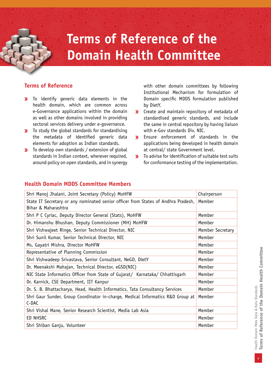# **Terms of Reference of the Domain Health Committee**

#### **Terms of Reference**

- To identify generic data elements in the  $\mathbf{v}$ health domain, which are common across e-Governance applications within the domain as well as other domains involved in providing sectoral services delivery under e-governance.
- **>>>** To study the global standards for standardising the metadata of identified generic data elements for adoption as Indian standards.
- **X** To develop own standards / extension of global standards in Indian context, wherever required, around policy on open standards, and in synergy

with other domain committees by following Institutional Mechanism for formulation of Domain specific MDDS formulation published by DietY.

- $\mathbf{y}$ Create and maintain repository of metadata of standardised generic standards, and include the same in central repository by having liaison with e-Gov standards Div, NIC.
- $\mathbf{y}$ Ensure enforcement of standards in the applications being developed in health domain at central/ state Government level.
- To advise for identification of suitable test suits  $\mathbf{W}$ for conformance testing of the implementation.

| Shri Manoj Jhalani, Joint Secretary (Policy) MoHFW                                                       | Chairperson      |
|----------------------------------------------------------------------------------------------------------|------------------|
| State IT Secretary or any nominated senior officer from States of Andhra Pradesh,<br>Bihar & Maharashtra | Member           |
| Shri P C Cyriac, Deputy Director General (Stats), MoHFW                                                  | Member           |
| Dr. Himanshu Bhushan, Deputy Commissioner (MH) MoHFW                                                     | Member           |
| Shri Vishwajeet Ringe, Senior Technical Director, NIC                                                    | Member Secretary |
| Shri Sunil Kumar, Senior Technical Director, NIC                                                         | Member           |
| Ms. Gayatri Mishra, Director MoHFW                                                                       | Member           |
| Representative of Planning Commission                                                                    | Member           |
| Shri Vishwadeep Srivastava, Senior Consultant, NeGD, DietY                                               | Member           |
| Dr. Meenakshi Mahajan, Technical Director, eGSD(NIC)                                                     | Member           |
| NIC State Informatics Officer from State of Gujarat/ Karnataka/ Chhattisgarh                             | Member           |
| Dr. Karnick, CSE Department, IIT Kanpur                                                                  | Member           |
| Dr. S. B. Bhattacharya, Head, Health Informatics, Tata Consultancy Services                              | Member           |
| Shri Gaur Sunder, Group Coordinator in-charge, Medical Informatics R&D Group at<br>C-DAC                 | Member           |
| Shri Vishal Mane, Senior Research Scientist, Media Lab Asia                                              | Member           |
| ED NHSRC                                                                                                 | Member           |
| Shri Shiban Ganju, Volunteer                                                                             | Member           |
|                                                                                                          |                  |

#### **Health Domain MDDS Committee Members**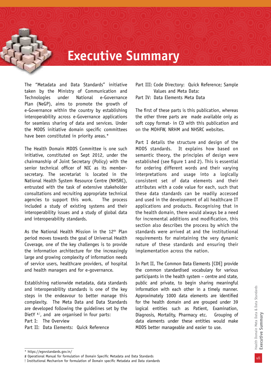### **Executive Summary**

The "Metadata and Data Standards" initiative taken by the Ministry of Communication and Technologies under National e-Governance Plan (NeGP), aims to promote the growth of e-Governance within the country by establishing interoperability across e-Governance applications for seamless sharing of data and services. Under the MDDS initiative domain specific committees have been constituted in priority areas.\*

The Health Domain MDDS Committee is one such initiative, constituted on Sept 2012, under the chairmanship of Joint Secretary (Policy) with the senior technical officer of NIC as its membersecretary. The secretariat is located in the National Health System Resource Centre (NHSRC), entrusted with the task of extensive stakeholder consultations and recruiting appropriate technical agencies to support this work. The process included a study of existing systems and their interoperability issues and a study of global data and interoperability standards.

As the National Health Mission in the 12<sup>th</sup> Plan period moves towards the goal of Universal Health Coverage, one of the key challenges is to provide the information architecture for the increasingly large and growing complexity of information needs of service users, healthcare providers, of hospital and health managers and for e-governance.

Establishing nationwide metadata, data standards and interoperability standards is one of the key steps in the endeavour to better manage this complexity. The Meta Data and Data Standards are developed following the guidelines set by the DietY  $#$ . and are organised in four parts:

Part I: The Overview

Part II: Data Elements: Quick Reference

Part III: Code Directory: Quick Reference; Sample Values and Meta Data: Part IV: Data Elements Meta Data

The first of these parts is this publication, whereas the other three parts are made available only as soft copy format- in CD with this publication and on the MOHFW, NRHM and NHSRC websites.

Part I details the structure and design of the MDDS standards. It explains how based on semantic theory, the principles of design were established (see figure 1 and 2). This is essential for ordering different words and their varying interpretations and usage into a logically consistent set of data elements and their attributes with a code value for each, such that these data standards can be readily accessed and used in the development of all healthcare IT applications and products. Recognising that in the health domain, there would always be a need for incremental additions and modification, this section also describes the process by which the standards were arrived at and the institutional requirements for maintaining the very dynamic nature of these standards and ensuring their implementation across the nation.

In Part II, The Common Data Elements [CDE] provide the common standardised vocabulary for various participants in the health system – centre and state, public and private, to begin sharing meaningful information with each other in a timely manner. Approximately 1000 data elements are identified for the health domain and are grouped under 39 logical entities such as Patient, Examination, Diagnosis, Mortality, Pharmacy etc. Grouping of data elements under these entities would make MDDS better manageable and easier to use.

<sup>\*</sup> https://egovstandards.gov.in/

<sup>#</sup> Operational Manual for formulation of Domain Specific Metadata and Data Standards

<sup>!</sup> Institutional Mechanism for formulation of Domain specific Metadata and Data standards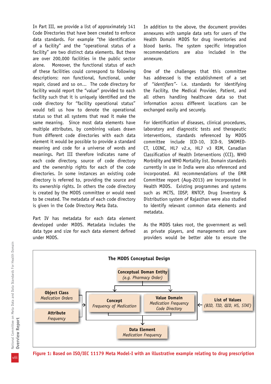In Part III, we provide a list of approximately 141 Code Directories that have been created to enforce data standards. For example "the identification of a facility" and the "operational status of a facility" are two distinct data elements. But there are over 200,000 facilities in the public sector alone. Moreover, the functional status of each of these facilities could correspond to following descriptions: non functional, functional, under repair, closed and so on... The code directory for facility would report the "value" provided to each facility such that it is uniquely identified and the code directory for "facility operational status" would tell us how to denote the operational status so that all systems that read it make the same meaning. Since most data elements have multiple attributes, by combining values drawn from different code directories with each data element it would be possible to provide a standard meaning and code for a universe of words and meanings. Part III therefore indicates name of each code directory, source of code directory and the ownership rights for each of the code directories. In some instances an existing code directory is referred to, providing the source and its ownership rights. In others the code directory is created by the MDDS committee or would need to be created. The metadata of each code directory is given in the Code Directory Meta Data.

Part IV has metadata for each data element developed under MDDS. Metadata includes the data type and size for each data element defined under MDDS.

In addition to the above, the document provides annexures with sample data sets for users of the Health Domain MDDS for drug inventories and blood banks. The system specific integration recommendations are also included in the annexure.

One of the challenges that this committee has addressed is the establishment of a set of *"identifiers"-* i.e. standards for identifying the Facility, the Medical Provider, Patient, and all others handling healthcare data so that information across different locations can be exchanged easily and securely.

For identification of diseases, clinical procedures, laboratory and diagnostic tests and therapeutic interventions, standards referenced by MDDS committee include ICD-10, ICD-9, SNOMED-CT, LOINC, HL7 v2.x, HL7 v3 RIM, Canadian Classification of Health Interventions (CCI), WHO Morbidity and WHO Mortality list. Domain standards currently in use in India were also referenced and incorporated. All recommendations of the EMR Committee report (Aug-2013) are incorporated in Health MDDS. Existing programmes and systems such as MCTS, IDSP, RNTCP, Drug Inventory & Distribution system of Rajasthan were also studied to identify relevant common data elements and metadata.

As the MDDS takes root, the government as well as private players, and managements and care providers would be better able to ensure the



**Figure 1: Based on ISO/IEC 11179 Meta Model-I with an illustrative example relating to drug prescription**

viii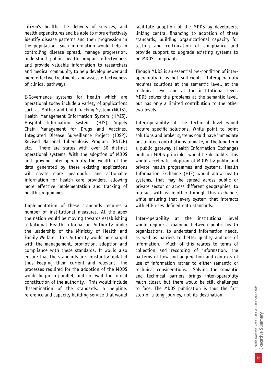citizen's health, the delivery of services, and health expenditures and be able to more effectively identify disease patterns and their progression in the population. Such information would help in controlling disease spread, manage progression, understand public health program effectiveness and provide valuable information to researchers and medical community to help develop newer and more effective treatments and assess effectiveness of clinical pathways.

E-Governance systems for Health which are operational today include a variety of applications such as Mother and Child Tracking System (MCTS), Health Management Information System (HMIS), Hospital Information Systems (HIS), Supply Chain Management for Drugs and Vaccines, Integrated Disease Surveillance Project (IDSP), Revised National Tuberculosis Program (RNTCP) etc. There are states with over 30 distinct operational systems. With the adoption of MDDS and growing inter-operability the wealth of the data generated by these existing applications will create more meaningful and actionable information for health care providers, allowing more effective implementation and tracking of health programmes.

Implementation of these standards requires a number of institutional measures. At the apex the nation would be moving towards establishing a National Health Information Authority under the leadership of the Ministry of Health and Family Welfare. This Authority would be charged with the management, promotion, adoption and compliance with these standards. It would also ensure that the standards are constantly updated thus keeping them current and relevant. The processes required for the adoption of the MDDS would begin in parallel, and not wait the formal constitution of the authority. This would include dissemination of the standards, a helpline, reference and capacity building service that would

facilitate adoption of the MDDS by developers, linking central financing to adoption of these standards, building organizational capacity for testing and certification of compliance and provide support to upgrade existing systems to be MDDS compliant.

Though MDDS is an essential pre-condition of interoperability it is not sufficient. Interoperability requires solutions at the semantic level, at the technical level and at the institutional level. MDDS solves the problems at the semantic level, but has only a limited contribution to the other two levels.

Inter-operability at the technical level would require specific solutions. While point to point solutions and broker systems could have immediate but limited contributions to make, in the long term a public gateway (Health Information Exchange) built on MDDS principles would be desirable. This would accelerate adoption of MDDS by public and private health programmes and systems, Health Information Exchange (HIE) would allow health systems, that may be spread across public or private sector or across different geographies, to interact with each other through this exchange, while ensuring that every system that interacts with HIE uses defined data standards.

Inter-operability at the institutional level would require a dialogue between public health organizations, to understand information needs, as well as barriers to better quality and use of information. Much of this relates to terms of collection and recording of information, the patterns of flow and aggregation and contexts of use of information rather to either semantic or technical considerations. Solving the semantic and technical barriers brings inter-operability much closer, but there would be still challenges to face. The MDDS publication is thus the first step of a long journey, not its destination.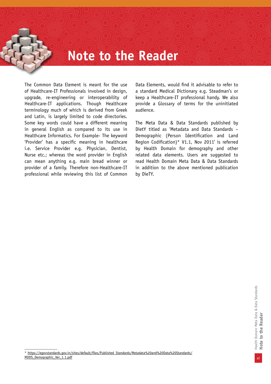## **Note to the Reader**

The Common Data Element is meant for the use of Healthcare-IT Professionals involved in design, upgrade, re-engineering or interoperability of Healthcare-IT applications. Though Healthcare terminology much of which is derived from Greek and Latin, is largely limited to code directories. Some key words could have a different meaning in general English as compared to its use in Healthcare Informatics. For Example- The keyword 'Provider' has a specific meaning in healthcare i.e. Service Provider e.g. Physician, Dentist, Nurse etc.; whereas the word provider in English can mean anything e.g. main bread winner or provider of a family. Therefore non-Healthcare-IT professional while reviewing this list of Common

Data Elements, would find it advisable to refer to a standard Medical Dictionary e.g. Steadman's or keep a Healthcare-IT professional handy. We also provide a Glossary of terms for the uninitiated audience.

The Meta Data & Data Standards published by DietY titled as 'Metadata and Data Standards – Demographic (Person Identification and Land Region Codification)\* V1.1, Nov 2011' is referred by Health Domain for demography and other related data elements. Users are suggested to read Health Domain Meta Data & Data Standards in addition to the above mentioned publication by DieTY.

<sup>\*</sup> https://egovstandards.gov.in/sites/default/files/Published\_Standards/Metadata%20and%20Data%20Standards/ MDDS\_Demographic\_Ver\_1.1.pdf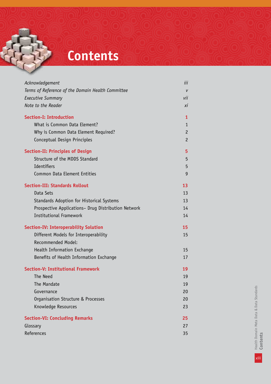# **Contents**

| Acknowledgement                                     | iii            |
|-----------------------------------------------------|----------------|
| Terms of Reference of the Domain Health Committee   | V              |
| <b>Executive Summary</b>                            | vii            |
| Note to the Reader                                  | XI             |
| <b>Section-I: Introduction</b>                      | 1              |
| What is Common Data Element?                        | 1              |
| Why is Common Data Element Required?                | $\overline{c}$ |
| Conceptual Design Principles                        | $\overline{c}$ |
| <b>Section-II: Principles of Design</b>             | 5              |
| Structure of the MDDS Standard                      | 5              |
| Identifiers                                         | 5              |
| Common Data Element Entities                        | 9              |
| <b>Section-III: Standards Rollout</b>               | 13             |
| Data Sets                                           | 13             |
| Standards Adoption for Historical Systems           | 13             |
| Prospective Applications- Drug Distribution Network | 14             |
| <b>Institutional Framework</b>                      | 14             |
| <b>Section-IV: Interoperability Solution</b>        | 15             |
| Different Models for Interoperability               | 15             |
| Recommended Model:                                  |                |
| Health Information Exchange                         | 15             |
| Benefits of Health Information Exchange             | 17             |
| <b>Section-V: Institutional Framework</b>           | 19             |
| <b>The Need</b>                                     | 19             |
| The Mandate                                         | 19             |
| Governance                                          | 20             |
| Organisation Structure & Processes                  | 20             |
| Knowledge Resources                                 | 23             |
| <b>Section-VI: Concluding Remarks</b>               | 25             |
| Glossary                                            | 27             |
| References                                          | 35             |

xiii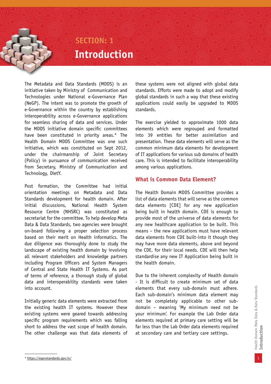### **SECTION: 1 Introduction**

The Metadata and Data Standards (MDDS) is an initiative taken by Ministry of Communication and Technologies under National e-Governance Plan (NeGP). The intent was to promote the growth of e-Governance within the country by establishing interoperability across e-Governance applications for seamless sharing of data and services. Under the MDDS initiative domain specific committees have been constituted in priority areas.\* The Health Domain MDDS Committee was one such initiative, which was constituted on Sept 2012, under the chairmanship of Joint Secretary (Policy) in pursuance of communication received from Secretary, Ministry of Communication and Technology, DietY.

Post formation, the Committee had initial orientation meetings on Metadata and Data Standards development for health domain. After initial discussions, National Health System Resource Centre (NHSRC) was constituted as secretariat for the committee. To help develop Meta Data & Data Standards, two agencies were brought on-board following a proper selection process based on their merit on Health informatics. The due diligence was thoroughly done to study the landscape of existing health domain by involving all relevant stakeholders and knowledge partners including Program Officers and System Managers of Central and State Health IT Systems. As part of terms of reference, a thorough study of global data and interoperability standards were taken into account.

Initially generic data elements were extracted from the existing health IT systems. However these existing systems were geared towards addressing specific program requirements which was falling short to address the vast scope of health domain. The other challenge was that data elements of

these systems were not aligned with global data standards. Efforts were made to adopt and modify global standards in such a way that these existing applications could easily be upgraded to MDDS standards.

The exercise yielded to approximate 1000 data elements which were regrouped and formatted into 39 entities for better assimilation and presentation. These data elements will serve as the common minimum data elements for development of IT applications for various sub domains of health care. This is intended to facilitate interoperability among various applications.

#### **What is Common Data Element?**

The Health Domain MDDS Committee provides a list of data elements that will serve as the common data elements [CDE] for any new application being built in health domain. CDE is enough to provide most of the universe of data elements for any new healthcare application to be built. This means – the new applications must have relevant data elements from CDE built-into it though they may have more data elements, above and beyond the CDE, for their local needs. CDE will then help standardise any new IT Application being built in the health domain.

Due to the inherent complexity of Health domain - It is difficult to create minimum set of data elements that every sub-domain must adhere. Each sub-domain's minimum data element may not be completely applicable to other subdomain – meaning 'My minimum need not be your minimum'. For example the Lab Order data elements required at primary care setting will be far less than the Lab Order data elements required at secondary care and tertiary care settings.

<sup>\*</sup> https://egovstandards.gov.in/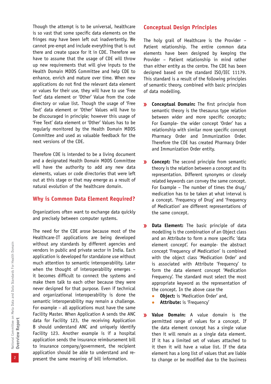Though the attempt is to be universal, healthcare is so vast that some specific data elements on the fringes may have been left out inadvertently. We cannot pre-empt and include everything that is out there and create space for it in CDE. Therefore we have to assume that the usage of CDE will throw up new requirements that will give inputs to the Health Domain MDDS Committee and help CDE to enhance, enrich and mature over time. When new applications do not find the relevant data element or values for their use, they will have to use 'Free Text' data element or 'Other' Value from the code directory or value list. Though the usage of 'Free Text' data element or 'Other' Values will have to be discouraged in principle; however this usage of 'Free Text' data element or 'Other' Values has to be regularly monitored by the Health Domain MDDS Committee and used as valuable feedback for the next versions of the CDE.

Therefore CDE is intended to be a living document and a designated Health Domain MDDS Committee will have the authority to add any new data elements, values or code directories that were left out at this stage or that may emerge as a result of natural evolution of the healthcare domain.

#### **Why is Common Data Element Required?**

Organizations often want to exchange data quickly and precisely between computer systems.

The need for the CDE arose because most of the Healthcare-IT applications are being developed without any standards by different agencies and vendors in public and private sector in India. Each application is developed for standalone use without much attention to semantic interoperability. Later when the thought of interoperability emerges – it becomes difficult to connect the systems and make them talk to each other because they were never designed for that purpose. Even if technical and organizational interoperability is done the semantic interoperability may remain a challenge. For example – all applications must have the same Facility Master. When Application A sends the ANC data for Facility 123, the receiving Application B should understand ANC and uniquely identify Facility 123. Another example is if a hospital application sends the insurance reimbursement bill to insurance company/government, the recipient application should be able to understand and represent the same meaning of bill information.

#### **Conceptual Design Principles**

The holy grail of Healthcare is the Provider – Patient relationship. The entire common data elements have been designed by keeping the Provider – Patient relationship in mind rather than either entity as the centre. The CDE has been designed based on the standard ISO/IEC 11179. This standard is a result of the following principles of semantic theory, combined with basic principles of data modelling.

- **Conceptual Domain:** The first principle from  $\mathbf{v}$ semantic theory is the thesaurus type relation between wider and more specific concepts; For Example- the wider concept 'Order' has a relationship with similar more specific concept Pharmacy Order and Immunization Order. Therefore the CDE has created Pharmacy Order and Immunization Order entity.
- **Concept:** The second principle from semantic  $\mathbf{v}$ theory is the relation between a concept and its representation. Different synonyms or closely related keywords can convey the same concept. For Example – The number of times the drug/ medication has to be taken at what interval is a concept. 'Frequency of Drug' and 'Frequency of Medication' are different representations of the same concept.
- **Data Element:** The basic principle of data  $\mathbf{v}$ modelling is the combination of an Object class and an Attribute to form a more specific 'data element concept'. For example- the abstract concept 'Frequency of Medication' is combined with the object class 'Medication Order' and is associated with Attribute 'Frequency' to form the data element concept 'Medication Frequency'. The standard must select the most appropriate keyword as the representation of the concept. In the above case the
	- **Object:** is 'Medication Order' and,
	- **Attribute:** is 'Frequency'
- **Value Domain:** A value domain is the  $\mathbf{v}$ permitted range of values for a concept. If the data element concept has a single value then it will remain as a single data element. If it has a limited set of values attached to it then it will have a value list. If the data element has a long list of values that are liable to change or be modified due to the business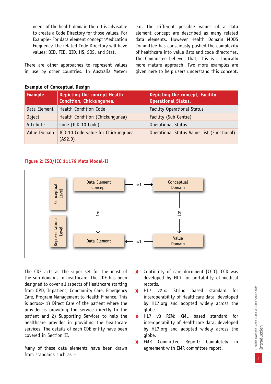needs of the health domain then it is advisable to create a Code Directory for those values. For Example- For data element concept 'Medication Frequency' the related Code Directory will have values: BID, TID, QID, HS, SOS, and Stat.

There are other approaches to represent values in use by other countries. In Australia Meteor e.g. the different possible values of a data element concept are described as many related data elements. However Health Domain MDDS Committee has consciously pushed the complexity of healthcare into value lists and code directories. The Committee believes that, this is a logically more mature approach. Two more examples are given here to help users understand this concept.

#### **Example of Conceptual Design**

| <b>Example</b> | Depicting the concept Health<br>Condition, Chickungunea. | Depicting the concept, Facility<br><b>Operational Status.</b> |  |
|----------------|----------------------------------------------------------|---------------------------------------------------------------|--|
| Data Element   | Health Condition Code                                    | <b>Facility Operational Status</b>                            |  |
| Object         | Health Condition (Chickungunea)                          | Facility (Sub Centre)                                         |  |
| Attribute      | Code (ICD-10 Code)                                       | Operational Status                                            |  |
| Value Domain   | ICD-10 Code value for Chickungunea<br>(A92.0)            | Operational Status Value List (Functional)                    |  |

#### **Figure 2: ISO/IEC 11179 Meta Model-II**



The CDE acts as the super set for the most of the sub domains in healthcare. The CDE has been designed to cover all aspects of Healthcare starting from OPD, Inpatient, Community Care, Emergency Care, Program Management to Health Finance. This is across- 1) Direct Care of the patient where the provider is providing the service directly to the patient and 2) Supporting Services to help the healthcare provider in providing the healthcare services. The details of each CDE entity have been covered in Section II.

Many of these data elements have been drawn from standards such as –

- Continuity of care document [CCD]: CCD was  $\mathbf{v}$ developed by HL7 for portability of medical records.
- $\mathbf{v}$ HL7 v2.x: String based standard for interoperability of Healthcare data, developed by HL7.org and adopted widely across the globe.
- HL7 v3 RIM: XML based standard for  $\mathbf{y}$ interoperability of Healthcare data, developed by HL7.org and adopted widely across the globe.
- $\mathbf{y}$ EMR Committee Report: Completely in agreement with EMR committee report.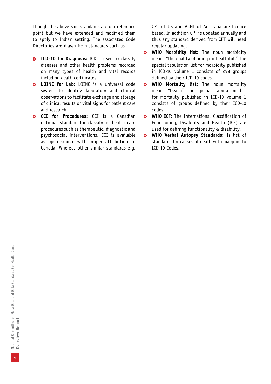Though the above said standards are our reference point but we have extended and modified them to apply to Indian setting. The associated Code Directories are drawn from standards such as –

- **ICD-10 for Diagnosis:** ICD is used to classify diseases and other health problems recorded on many types of health and vital records including death certificates.
- **LOINC for Lab:** LOINC is a universal code system to identify laboratory and clinical observations to facilitate exchange and storage of clinical results or vital signs for patient care and research
- **CCI for Procedures:** CCI is a Canadian national standard for classifying health care procedures such as therapeutic, diagnostic and psychosocial interventions. CCI is available as open source with proper attribution to Canada. Whereas other similar standards e.g.

CPT of US and ACHI of Australia are licence based. In addition CPT is updated annually and thus any standard derived from CPT will need regular updating.

- **WHO Morbidity list:** The noun morbidity  $\mathbf{v}$ means "the quality of being un-healthful." The special tabulation list for morbidity published in ICD-10 volume 1 consists of 298 groups defined by their ICD-10 codes.
- **WHO Mortality list:** The noun mortality  $\mathbf{y}$ means "Death" The special tabulation list for mortality published in ICD-10 volume 1 consists of groups defined by their ICD-10 codes.
- **WHO ICF:** The International Classification of  $\mathbf{v}$ Functioning, Disability and Health (ICF) are used for defining functionality & disability.
- **WHO Verbal Autopsy Standards:** Is list of  $\mathbf{v}$ standards for causes of death with mapping to ICD-10 Codes.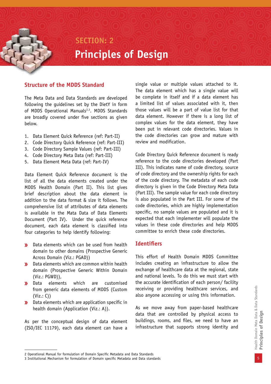### **SECTION: 2 Principles of Design**

#### **Structure of the MDDS Standard**

The Meta Data and Data Standards are developed following the guidelines set by the DietY in form of MDDS Operational Manuals<sup>2,3</sup>. MDDS Standards are broadly covered under five sections as given below.

- 1. Data Element Quick Reference (ref: Part-II)
- 2. Code Directory Quick Reference (ref: Part-III)
- 3. Code Directory Sample Values (ref: Part-III)
- 4. Code Directory Meta Data (ref: Part-III)
- 5. Data Element Meta Data (ref: Part-IV)

Data Element Quick Reference document is the list of all the data elements created under the MDDS Health Domain (Part II). This list gives brief description about the data element in addition to the data format & size it follows. The comprehensive list of attributes of data elements is available in the Mata Data of Data Elements Document (Part IV). Under the quick reference document, each data element is classified into four categories to help identify following:

- Data elements which can be used from health  $\mathbf{y}$ domain to other domains (Prospective Generic Across Domain (Viz.: PGAD))
- **Data elements which are common within health** domain (Prospective Generic Within Domain (Viz.: PGWD)),
- **»** Data elements which are customised from generic data elements of MDDS (Custom (Viz.: C))
- **Data elements which are application specific in** health domain (Application (Viz.: A)).

As per the conceptual design of data element (ISO/IEC 11179), each data element can have a

single value or multiple values attached to it. The data element which has a single value will be complete in itself and if a data element has a limited list of values associated with it, then those values will be a part of value list for that data element. However if there is a long list of complex values for the data element, they have been put in relevant code directories. Values in the code directories can grow and mature with review and modification.

Code Directory Quick Reference document is ready reference to the code directories developed (Part III). This indicates name of code directory, source of code directory and the ownership rights for each of the code directory. The metadata of each code directory is given in the Code Directory Meta Data (Part III). The sample value for each code directory is also populated in the Part III. For some of the code directories, which are highly implementation specific, no sample values are populated and it is expected that each implementer will populate the values in these code directories and help MDDS committee to enrich these code directories.

#### **Identifiers**

This effort of Health Domain MDDS Committee includes creating an infrastructure to allow the exchange of healthcare data at the regional, state and national levels. To do this we must start with the accurate identification of each person/ facility receiving or providing healthcare services, and also anyone accessing or using this information.

As we move away from paper-based healthcare data that are controlled by physical access to buildings, rooms, and files, we need to have an infrastructure that supports strong identity and

<sup>2</sup> Operational Manual for formulation of Domain Specific Metadata and Data Standards

<sup>3</sup> Institutional Mechanism for formulation of Domain specific Metadata and Data standards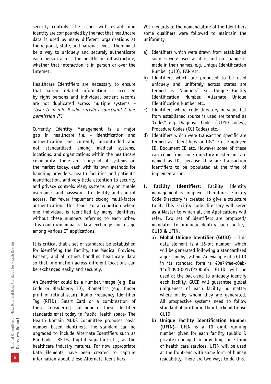security controls. The issues with establishing identity are compounded by the fact that healthcare data is used by many different organizations at the regional, state, and national levels. There must be a way to uniquely and securely authenticate each person across the healthcare infrastructure, whether that interaction is in person or over the Internet.

Healthcare Identifiers are necessary to ensure that patient related information is accessed by right persons and individual patient records are not duplicated across multiple systems – "User U in role R who satisfies constraint C has permission P".

Currently Identity Management is a major gap in healthcare i.e. - identification and authentication are currently uncontrolled and not standardized among medical systems, locations, and organizations within the healthcare community. There are a myriad of systems on the market today, each with its own methods for handling providers, health facilities and patients' identification, and very little attention to security and privacy controls. Many systems rely on simple usernames and passwords to identify and control access. Far fewer implement strong multi-factor authentication. This leads to a condition where one individual is identified by many identifiers without these numbers referring to each other. This condition impacts data exchange and usage among various IT applications.

It is critical that a set of standards be established for identifying the Facility, the Medical Provider, Patient, and all others handling healthcare data so that information across different locations can be exchanged easily and securely.

An Identifier could be a number, image (e.g. Bar Code or Blackberry ID), Biometrics (e.g. finger print or retinal scan), Radio Frequency Identifier Tag (RFID), Smart Card or a combination of these. Considering that none of these identifier standards exist today in Public Health space- The Health Domain MDDS Committee proposes basic number based identifiers. The standard can be upgraded to include Alternate Identifiers such as Bar Codes, RFIDs, Digital Signature etc., as the healthcare industry matures. For now appropriate Data Elements have been created to capture information about these Alternate Identifiers.

With regards to the nomenclature of the Identifiers some qualifiers were followed to maintain the uniformity.

- a) Identifiers which were drawn from established sources were used as it is and no change is made in their names. e.g. Unique Identification Number (UID), PAN etc.
- b) Identifiers which are proposed to be used uniquely and uniformly across states are termed as "Numbers" e.g. Unique Facility Identification Number, Alternate Unique Identification Number etc.
- c) Identifiers where code directory or value list from established source is used are termed as 'Codes" e.g. Diagnosis Codes (ICD10 Codes), Procedure Codes (CCI Codes) etc.
- d) Identifiers which were transaction specific are termed as "Identifiers or IDs". E.g. Employee ID, Document ID etc. However some of these can come from code directory master but are named as IDs because they are transaction identifiers to be populated at the time of implementation.
- **I. Facility Identifiers**: Facility Identity management is complex – therefore a Facility Code Directory is created to give a structure to it. This Facility code directory will serve as a Master to which all the Applications will refer. Two set of identifiers are proposed/ mandated to uniquely identify each facility-GUID & UFIN.
	- a) **Global Unique Identifier (GUID)** This data element is a 16-bit number, which will be generated following a standardized algorithm by system. An example of a GUID in its standard form is 40e74fae-c0ab-11dfb090-0017f2300bf5. GUID will be used at the back-end to uniquely identify each facility. GUID will guarantee global uniqueness of each facility no matter where or by whom they are generated. All prospective systems need to follow standard algorithm in their backend to use GUID.
	- b) **Unique Facility Identification Number (UFIN)-** UFIN is a 10 digit running number given for each facility (public & private) engaged in providing some form of health care services. UFIN will be used at the front-end with some form of human readability. There are two ways to do this.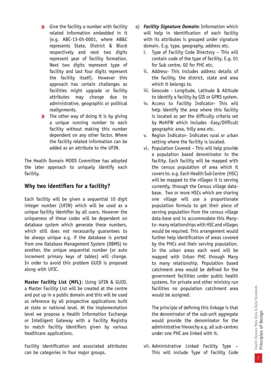- **>>** Give the facility a number with facility related information embedded in it (e.g. ABC-13-05-0001, where AB&C represents State, District & Block respectively and next two digits represent year of facility formation. Next two digits represent type of facility and last four digits represent the facility itself). However this approach has certain challenges as facilities might upgrade or facility attributes may change due to administrative, geographic or political realignments.
- The other way of doing it is by giving  $\mathbf{v}$ a unique running number to each facility without making this number dependent on any other factor. Where the facility related information can be added as an attribute to the UFIN.

The Health Domain MDDS Committee has adopted the later approach to uniquely identify each facility.

### **Why two identifiers for a facility?**

Each facility will be given a sequential 10 digit integer number (UFIN) which will be used as a unique facility identifier by all users. However the uniqueness of these codes will be dependent on database system which generate these numbers, which still does not necessarily guarantees to be always unique e.g. if the database is ported from one Database Management System (DBMS) to another, the unique sequential number (or auto increment primary keys of tables) will change. In order to avoid this problem GUID is proposed along with UFIC.

**Master Facility List (MFL)**: Using UFIN & GUID, a Master Facility List will be created at the centre and put up in a public domain and this will be used as reference by all prospective applications built at state or national level. At the implementation level we propose a Health Information Exchange or Intelligent Gateway with a Facility Registry to match facility identifiers given by various healthcare applications.

Facility identification and associated attributes can be categories in four major groups.

- a) *Facility Signature Domain***:** Information which will help in identification of each facility with its attributes is grouped under signature domain. E.g. type, geography, address etc.
	- i. Type of Facility Code Directory This will contain code of the type of facility. E.g. 01 for Sub centre, 02 for PHC etc.
	- ii. Address- This includes address details of the facility, the district, state and area which it belongs to.
	- iii. Geocode Longitude, Latitude & Altitude to identify a facility by GIS or GPRS system.
	- iv. Access to Facility Indicator- This will help identify the area where this facility is located as per the difficulty criteria set by MoHFW which includes -Easy/Difficult geographic area, hilly area etc.
	- v. Region Indicator- Indicates rural or urban setting where the facility is located.
	- vi. Population Covered This will help provide a population based denominator to the facility. Each facility will be mapped with the census population of area which it covers to. e.g. Each Health Sub Centre (HSC) will be mapped to the villages it is serving currently, through the Census village database. Two or more HSCs which are sharing one village will use a proportionate population formula to get their piece of serving population from the census village data-base and to accommodate this Manyto- many relationships with HSC and villages would be required. This arrangement would further help identification of areas covered by the PHCs and their serving population. In the urban areas each ward will be mapped with Urban PHC through Many to many relationship. Population based catchment area would be defined for the government facilities under public health systems. For private and other ministry run facilities no population catchment area would be assigned.

The principle of defining this linkage is that the denominator of the sub-unit aggregate would provide the denominator for the administrative hierarchy e.g. all sub-centres under one PHC are linked with it.

vii. Administrative Linked Facility Type – This will include Type of Facility Code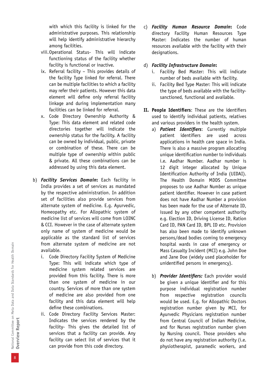with which this facility is linked for the administrative purposes. This relationship will help identify administrative hierarchy among facilities.

- viii.Operational Status- This will indicate functioning status of the facility whether facility is functional or inactive.
- ix. Referral facility This provides details of the facility Type linked for referral. There can be multiple facilities to which a facility may refer their patients. However this data element will define only referral facility linkage and during implementation many facilities can be linked for referral.
- x. Code Directory Ownership Authority & Type: This data element and related code directories together will indicate the ownership status for the facility. A facility can be owned by individual, public, private or combination of these. There can be multiple type of ownership within public & private. All these combinations can be addressed by using this data element.
- b) *Facility Services Domain***:** Each facility in India provides a set of services as mandated by the respective administration. In addition set of facilities also provide services from alternate system of medicine. E.g. Ayurvedic, Homeopathy etc. For Allopathic system of medicine list of services will come from LOINC & CCI. However in the case of alternate system only name of system of medicine would be applicable as the standard list of services from alternate system of medicine are not available.
	- i. Code Directory Facility System of Medicine Type: This will indicate which type of medicine system related services are provided from this facility. There is more than one system of medicine in our country. Services of more than one system of medicine are also provided from one facility and this data element will help define these combinations.
	- ii. Code Directory Facility Services Master: Indicates the services rendered by the facility- This gives the detailed list of services that a facility can provide. Any facility can select list of services that it can provide from this code directory.

c) *Facility Human Resource Domain***:** Code directory Facility Human Resources Type Master: Indicates the number of human resources available with the facility with their designations.

#### d) *Facility Infrastructure Domain***:**

- i. Facility Bed Master: This will indicate number of beds available with facility.
- ii. Facility Bed Type Master: This will indicate the type of beds available with the facilitysanctioned, functional and available.
- **II. People Identifiers**: These are the identifiers used to identify individual patients, relatives and various providers in the health system.
	- a) *Patient Identifiers*: Currently multiple patient identifiers are used across applications in health care space in India. There is also a massive program allocating unique identification number to individuals i.e. Aadhar Number. Aadhar number is 12 digit integer allocated by Unique Identification Authority of India (UIDAI). The Health Domain MDDS Committee proposes to use Aadhar Number as unique patient identifier. However in case patient does not have Aadhar Number a provision has been made for the use of Alternate ID, issued by any other competent authority e.g. Election ID, Driving License ID, Ration Card ID, PAN Card ID, BPL ID etc. Provision has also been made to identify unknown persons/dead bodies coming to emergency hospital wards in case of emergency or Mass Casualty Incident (MCI) e.g. John Doe and Jane Doe (widely used placeholder for unidentified persons in emergency).
	- b) *Provider Identifiers:* Each provider would be given a unique identifier and for this purpose individual registration number from respective registration councils would be used. E.g. for Allopathic Doctors registration number given by MCI, for Ayurvedic Physicians registration number from Central Council of Indian Medicine, and for Nurses registration number given by Nursing council. Those providers who do not have any registration authority (i.e. physiotherapist, paramedic workers, and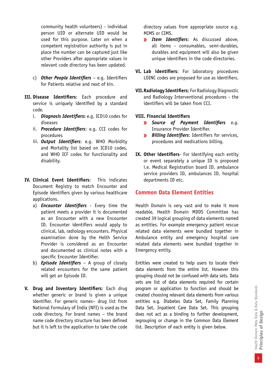community health volunteers) - individual person UID or alternate UID would be used for this purpose. Later on when a competent registration authority is put in place the number can be captured just like other Providers after appropriate values in relevant code directory has been updated.

- c) *Other People Identifiers* e.g. Identifiers for Patients relative and next of kin.
- **III. Disease Identifiers**: Each procedure and service is uniquely identified by a standard code.
	- i. *Diagnosis Identifiers***:** e.g. ICD10 codes for diseases
	- ii. *Procedure Identifiers*: e.g. CCI codes for procedures
	- iii. *Output Identifiers*: e.g. WHO Morbidity and Mortality list based on ICD10 codes, and WHO ICF codes for functionality and disability.
- **IV. Clinical Event Identifiers**: This indicates Document Registry to match Encounter and Episode identifiers given by various healthcare applications.
	- a) *Encounter Identifiers* Every time the patient meets a provider it is documented as an Encounter with a new Encounter ID. Encounter identifiers would apply to clinical, lab, radiology encounters. Physical examination done by the Helth Service Provider is considered as an Encounter and documented as clinical notes with a specific Encounter Identifier.
	- b) *Episode Identifiers* A group of closely related encounters for the same patient will get an Episode ID.
- **V. Drug and Inventory Identifiers**: Each drug whether generic or brand is given a unique identifier. For generic names– drug list from National Formulary of India (NFI) is used as the code directory. For brand names – the brand name code directory structure has been defined but it is left to the application to take the code

directory values from appropriate source e.g. MIMS or CIMS.

- *Item Identifiers*: As discussed above, all items - consumables, semi-durables, durables and equipment will also be given unique identifiers in the code directories.
- **VI. Lab identifiers**: For laboratory procedures LOINC codes are proposed for use as identifiers.
- **VII.Radiology Identifiers**: For Radiology Diagnostic and Radiology Interventional procedures - the identifiers will be taken from CCI.
- **VIII. Financial Identifiers**
	- *Source of Payment Identifiers* e.g. Insurance Provider Identifier.
	- *Billing Identifiers*: Identifiers for services, procedures and medications billing.
- **IX. Other identifiers** For identifying each entity or event separately a unique ID is proposed i.e. Medical Registration board ID, ambulance service providers ID, ambulances ID, hospital departments ID etc.

#### **Common Data Element Entities**

Health Domain is very vast and to make it more readable, Health Domain MDDS Committee has created 39 logical grouping of data elements named as entities. For example emergency patient rescue related data elements were bundled together in Ambulance entity and emergency hospital care related data elements were bundled together in Emergency entity.

Entities were created to help users to locate their data elements from the entire list. However this grouping should not be confused with data sets. Data sets are list of data elements required for certain program or application to function and should be created choosing relevant data elements from various entities e.g. Diabetes Data Set, Family Planning Data Set, Inpatient Care Data Set. This grouping does not act as a binding to further development, regrouping or change in the Common Data Element list. Description of each entity is given below.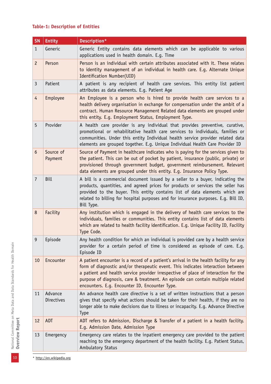#### **Table-1: Description of Entities**

| <b>SN</b>      | <b>Entity</b>         | Description*                                                                                                                                                                                                                                                                                                                                                                                        |
|----------------|-----------------------|-----------------------------------------------------------------------------------------------------------------------------------------------------------------------------------------------------------------------------------------------------------------------------------------------------------------------------------------------------------------------------------------------------|
| $\mathbf{1}$   | Generic               | Generic Entity contains data elements which can be applicable to various<br>applications used in health domain. E.g. Time                                                                                                                                                                                                                                                                           |
| $\overline{c}$ | Person                | Person is an individual with certain attributes associated with it. These relates<br>to identity management of an individual in health care. E.g. Alternate Unique<br>Identification Number(UID)                                                                                                                                                                                                    |
| 3              | Patient               | A patient is any recipient of health care services. This entity list patient<br>attributes as data elements. E.g. Patient Age                                                                                                                                                                                                                                                                       |
| $\overline{4}$ | Employee              | An Employee is a person who is hired to provide health care services to a<br>health delivery organisation in exchange for compensation under the ambit of a<br>contract. Human Resource Management Related data elements are grouped under<br>this entity. E.g. Employment Status, Employment Type.                                                                                                 |
| 5              | Provider              | A health care provider is any individual that provides preventive, curative,<br>promotional or rehabilitative health care services to individuals, families or<br>communities. Under this entity Individual health service provider related data<br>elements are grouped together. E.g. Unique Individual Health Care Provider ID                                                                   |
| $6\phantom{1}$ | Source of<br>Payment  | Source of Payment in healthcare indicates who is paying for the services given to<br>the patient. This can be out of pocket by patient, insurance (public, private) or<br>provisioned through government budget, government reimbursement. Relevant<br>data elements are grouped under this entity. E.g. Insurance Policy Type.                                                                     |
| $\overline{7}$ | <b>Bill</b>           | A bill is a commercial document issued by a seller to a buyer, indicating the<br>products, quantities, and agreed prices for products or services the seller has<br>provided to the buyer. This entity contains list of data elements which are<br>related to billing for hospital purposes and for insurance purposes. E.g. Bill ID,<br>Bill Type.                                                 |
| 8              | Facility              | Any institution which is engaged in the delivery of health care services to the<br>individuals, families or communities. This entity contains list of data elements<br>which are related to health facility identification. E.g. Unique Facility ID, Facility<br>Type Code.                                                                                                                         |
| 9              | Episode               | Any health condition for which an individual is provided care by a health service<br>provider for a certain period of time is considered as episode of care. E.g.<br>Episode ID                                                                                                                                                                                                                     |
| 10             | Encounter             | A patient encounter is a record of a patient's arrival in the health facility for any<br>form of diagnostic and/or therapeutic event. This indicates interaction between<br>a patient and health service provider irrespective of place of interaction for the<br>purpose of diagnosis, care & treatment. An episode can contain multiple related<br>encounters. E.g. Encounter ID, Encounter Type. |
| 11             | Advance<br>Directives | An advance health care directive is a set of written instructions that a person<br>gives that specify what actions should be taken for their health, if they are no<br>longer able to make decisions due to illness or incapacity. E.g. Advance Directive<br><b>Type</b>                                                                                                                            |
| 12             | ADT                   | ADT refers to Admission, Discharge & Transfer of a patient in a health facility.<br>E.g. Admission Date, Admission Type                                                                                                                                                                                                                                                                             |
| 13             | Emergency             | Emergency care relates to the inpatient emergency care provided to the patient<br>reaching to the emergency department of the health facility. E.g. Patient Status,<br>Ambulatory Status                                                                                                                                                                                                            |

\* http://en.wikipedia.org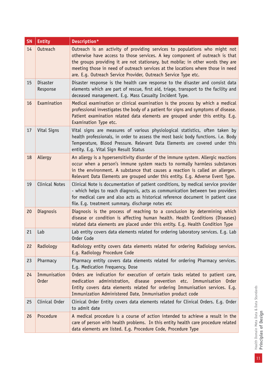| <b>SN</b> | <b>Entity</b>               | Description*                                                                                                                                                                                                                                                                                                                                                                                        |
|-----------|-----------------------------|-----------------------------------------------------------------------------------------------------------------------------------------------------------------------------------------------------------------------------------------------------------------------------------------------------------------------------------------------------------------------------------------------------|
| 14        | Outreach                    | Outreach is an activity of providing services to populations who might not<br>otherwise have access to those services. A key component of outreach is that<br>the groups providing it are not stationary, but mobile; in other words they are<br>meeting those in need of outreach services at the locations where those in need<br>are. E.g. Outreach Service Provider, Outreach Service Type etc. |
| 15        | <b>Disaster</b><br>Response | Disaster response is the health care response to the disaster and consist data<br>elements which are part of rescue, first aid, triage, transport to the facility and<br>deceased management. E.g. Mass Casualty Incident Type.                                                                                                                                                                     |
| 16        | Examination                 | Medical examination or clinical examination is the process by which a medical<br>professional investigates the body of a patient for signs and symptoms of disease.<br>Patient examination related data elements are grouped under this entity. E.g.<br>Examination Type etc.                                                                                                                       |
| 17        | Vital Signs                 | Vital signs are measures of various physiological statistics, often taken by<br>health professionals, in order to assess the most basic body functions. i.e. Body<br>Temperature, Blood Pressure. Relevant Data Elements are covered under this<br>entity. E.g. Vital Sign Result Status                                                                                                            |
| 18        | Allergy                     | An allergy is a hypersensitivity disorder of the immune system. Allergic reactions<br>occur when a person's immune system reacts to normally harmless substances<br>in the environment. A substance that causes a reaction is called an allergen.<br>Relevant Data Elements are grouped under this entity. E.g. Adverse Event Type.                                                                 |
| 19        | <b>Clinical Notes</b>       | Clinical Note is documentation of patient conditions, by medical service provider<br>- which helps to reach diagnosis, acts as communication between two providers<br>for medical care and also acts as historical reference document in patient case<br>file. E.g. treatment summary, discharge notes etc                                                                                          |
| 20        | Diagnosis                   | Diagnosis is the process of reaching to a conclusion by determining which<br>disease or condition is affecting human health. Health Conditions (Diseases)<br>related data elements are placed under this entity. E.g. Health Condition Type                                                                                                                                                         |
| 21        | Lab                         | Lab entity covers data elements related for ordering laboratory services. E.g. Lab<br>Order Code                                                                                                                                                                                                                                                                                                    |
| 22        | Radiology                   | Radiology entity covers data elements related for ordering Radiology services.<br>E.g. Radiology Procedure Code                                                                                                                                                                                                                                                                                     |
| 23        | Pharmacy                    | Pharmacy entity covers data elements related for ordering Pharmacy services.<br>E.g. Medication Frequency, Dose                                                                                                                                                                                                                                                                                     |
| 24        | Immunisation<br>Order       | Orders are indication for execution of certain tasks related to patient care,<br>administration, disease prevention etc. Immunisation<br>medication<br>Order<br>Entity covers data elements related for ordering Immunisation services. E.g.<br>Immunization Administered Date, Immunisation product code                                                                                           |
| 25        | Clinical Order              | Clinical Order Entity covers data elements related for Clinical Orders. E.g. Order<br>to admit date                                                                                                                                                                                                                                                                                                 |
| 26        | Procedure                   | A medical procedure is a course of action intended to achieve a result in the<br>care of person with health problems. In this entity health care procedure related<br>data elements are listed. E.g. Procedure Code, Procedure Type                                                                                                                                                                 |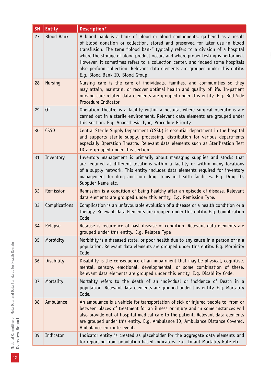| <b>SN</b> | <b>Entity</b>     | Description*                                                                                                                                                                                                                                                                                                                                                                                                                                                                                                                             |
|-----------|-------------------|------------------------------------------------------------------------------------------------------------------------------------------------------------------------------------------------------------------------------------------------------------------------------------------------------------------------------------------------------------------------------------------------------------------------------------------------------------------------------------------------------------------------------------------|
| 27        | <b>Blood Bank</b> | A blood bank is a bank of blood or blood components, gathered as a result<br>of blood donation or collection, stored and preserved for later use in blood<br>transfusion. The term "blood bank" typically refers to a division of a hospital<br>where the storage of blood product occurs and where proper testing is performed.<br>However, it sometimes refers to a collection center, and indeed some hospitals<br>also perform collection. Relevant data elements are grouped under this entity.<br>E.g. Blood Bank ID, Blood Group. |
| 28        | <b>Nursing</b>    | Nursing care is the care of individuals, families, and communities so they<br>may attain, maintain, or recover optimal health and quality of life. In-patient<br>nursing care related data elements are grouped under this entity. E.g. Bed Side<br>Procedure Indicator                                                                                                                                                                                                                                                                  |
| 29        | 0T                | Operation Theatre is a facility within a hospital where surgical operations are<br>carried out in a sterile environment. Relevant data elements are grouped under<br>this section. E.g. Anaesthesia Type, Procedure Priority                                                                                                                                                                                                                                                                                                             |
| 30        | <b>CSSD</b>       | Central Sterile Supply Department (CSSD) is essential department in the hospital<br>and supports sterile supply, processing, distribution for various departments<br>especially Operation Theatre. Relevant data elements such as Sterilization Test<br>ID are grouped under this section.                                                                                                                                                                                                                                               |
| 31        | Inventory         | Inventory management is primarily about managing supplies and stocks that<br>are required at different locations within a facility or within many locations<br>of a supply network. This entity includes data elements required for inventory<br>management for drug and non drug items in health facilities. E.g. Drug ID,<br>Supplier Name etc.                                                                                                                                                                                        |
| 32        | Remission         | Remission is a condition of being healthy after an episode of disease. Relevant<br>data elements are grouped under this entity. E.g. Remission Type.                                                                                                                                                                                                                                                                                                                                                                                     |
| 33        | Complications     | Complication is an unfavourable evolution of a disease or a health condition or a<br>therapy. Relevant Data Elements are grouped under this entity. E.g. Complication<br>Code                                                                                                                                                                                                                                                                                                                                                            |
| 34        | Relapse           | Relapse is recurrence of past disease or condition. Relevant data elements are<br>grouped under this entity. E.g. Relapse Type                                                                                                                                                                                                                                                                                                                                                                                                           |
| 35        | Morbidity         | Morbidity is a diseased state, or poor health due to any cause in a person or in a<br>population. Relevant data elements are grouped under this entity. E.g. Morbidity<br>Code                                                                                                                                                                                                                                                                                                                                                           |
| 36        | Disability        | Disability is the consequence of an impairment that may be physical, cognitive,<br>mental, sensory, emotional, developmental, or some combination of these.<br>Relevant data elements are grouped under this entity. E.g. Disability Code.                                                                                                                                                                                                                                                                                               |
| 37        | Mortality         | Mortality refers to the death of an individual or incidence of Death in a<br>population. Relevant data elements are grouped under this entity. E.g. Mortality<br>Code.                                                                                                                                                                                                                                                                                                                                                                   |
| 38        | Ambulance         | An ambulance is a vehicle for transportation of sick or injured people to, from or<br>between places of treatment for an illness or injury and in some instances will<br>also provide out of hospital medical care to the patient. Relevant data elements<br>are grouped under this entity. E.g. Ambulance ID, Ambulance Distance Covered,<br>Ambulance en route event.                                                                                                                                                                  |
| 39        | Indicator         | Indicator entity is created as placeholder for the aggregate data elements and<br>for reporting from population-based indicators. E.g. Infant Mortality Rate etc.                                                                                                                                                                                                                                                                                                                                                                        |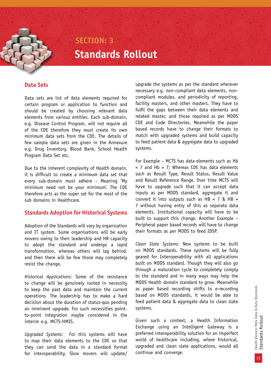### **Standards Rollout SECTION: 3**

Data sets are list of data elements required for certain program or application to function and should be created by choosing relevant data elements from various entities. Each sub-domain, e.g. Disease Control Program, will not require all of the CDE therefore they must create its own minimum data sets from the CDE. The details of few sample data sets are given in the Annexure e.g. Drug Inventory, Blood Bank, School Health Program Data Set etc.

Due to the inherent complexity of Health domain, it is difficult to create a minimum data set that every sub-domain must adhere - Meaning 'My minimum need not be your minimum'. The CDE therefore acts as the super set for the most of the sub domains in Healthcare.

#### **Standards Adoption for Historical Systems**

Adoption of the Standards will vary by organisation and IT system. Some organisations will be early movers owing to their leadership and HR capacity to adopt the standard and undergo a rapid transformation, whereas others will lag behind, and then there will be few those may completely resist the change.

*Historical Applications:* Some of the resistance to change will be genuinely rooted in necessity to keep the past data and maintain the current operations. The leadership has to make a hard decision about the duration of status-quo pending an imminent upgrade. For such necessities pointto-point integration maybe considered in the interim e.g. MCTS-HMIS.

*Upgraded Systems:* For this systems will have to map their data elements to the CDE so that they can send the data in a standard format for interoperability. Slow movers will update/

upgrade the systems as per the standard wherever necessary e.g. non-compliant data elements, noncompliant modules, and periodicity of reporting, facility masters, and other masters. They have to fulfil the gaps between their data elements and related master, and those required as per MDDS CDE and Code Directories. Meanwhile the paper based records have to change their formats to match with upgraded systems and build capacity to feed patient data & aggregate data to upgraded systems.

**Data Sets**<br> **Data Sets**<br> **One area intervinted in the system is proposed by a non-complinit data elements, resp.<br>
One area in either one of the controll by choosing reduced for compliant modules. The particles of reportin** For Example – MCTS has data elements such as Hb < 7 and Hb > 7; Whereas CDE has data elements such as Result Type, Result Status, Result Value and Result Reference Range. Over time MCTS will have to upgrade such that it can accept data inputs as per MDDS standard, aggregate it and convert it into outputs such as  $HB < 7$  &  $HB >$ 7 without having entry of this as separate data elements. Institutional capacity will have to be built to support this change. Another Example – Peripheral paper based records will have to change their formats as per MDDS to feed IDSP.

*Clean Slate Systems:* New systems to be built on MDDS standards. These systems will be fully geared for Interoperability with all applications built on MDDS standard. Though they will also go through a maturation cycle to completely comply to the standard and in many ways may help the MDDS Health domain standard to grow. Meanwhile as paper based recording shifts to e-recording based on MDDS standards, it would be able to feed patient data & aggregate data to clean slate systems.

Given such a context, a Health Information Exchange using an Intelligent Gateway is a preferred interoperability solution for an imperfect world of healthcare including, where historical, upgraded and clean slate applications, would all continue and converge.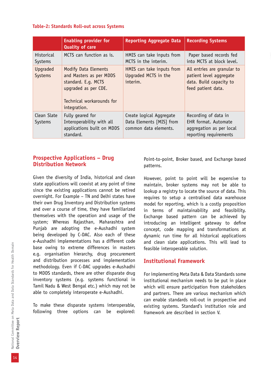#### **Table-2: Standards Roll-out across Systems**

|                              | <b>Enabling provider for</b><br><b>Quality of care</b>                                                                                             | <b>Reporting Aggregate Data</b>                                               | <b>Recording Systems</b>                                                                                |
|------------------------------|----------------------------------------------------------------------------------------------------------------------------------------------------|-------------------------------------------------------------------------------|---------------------------------------------------------------------------------------------------------|
| <b>Historical</b><br>Systems | MCTS can function as is.                                                                                                                           | HMIS can take inputs from<br>MCTS in the interim.                             | Paper based records fed<br>into MCTS at block level.                                                    |
| Upqraded<br>Systems          | <b>Modify Data Elements</b><br>and Masters as per MDDS<br>standard. E.q. MCTS<br>upgraded as per CDE.<br>Technical workarounds for<br>integration. | HMIS can take inputs from<br>Upgraded MCTS in the<br>interim.                 | All entries are granular to<br>patient level aggregate<br>data. Build capacity to<br>feed patient data. |
| Clean Slate<br>Systems       | Fully geared for<br>Interoperability with all<br>applications built on MDDS<br>standard.                                                           | Create logical Aggregate<br>Data Elements [MIS] from<br>common data elements. | Recording of data in<br>EHR format. Automate<br>aggregation as per local<br>reporting requirements      |

#### **Prospective Applications – Drug Distribution Network**

Given the diversity of India, historical and clean state applications will coexist at any point of time since the existing applications cannot be retired overnight. For Example – TN and Delhi states have their own Drug Inventory and Distribution systems and over a course of time, they have familiarized themselves with the operation and usage of the system; Whereas Rajasthan, Maharashtra and Punjab are adopting the e-Aushadhi system being developed by C-DAC. Also each of these e-Aushadhi implementations has a different code base owing to extreme differences in masters e.g. organisation hierarchy, drug procurement and distribution processes and implementation methodology. Even if C-DAC upgrades e-Aushadhi to MDDS standards, there are other disparate drug inventory systems (e.g. systems functional in Tamil Nadu & West Bengal etc.) which may not be able to completely interoperate e-Aushadhi.

To make these disparate systems interoperable, following three options can be explored: Point-to-point, Broker based, and Exchange based patterns.

However, point to point will be expensive to maintain, broker systems may not be able to lookup a registry to locate the source of data. This requires to setup a centralised data warehouse model for reporting, which is a costly proposition in terms of maintainability and feasibility. Exchange based pattern can be achieved by introducing an intelligent gateway to define concept, code mapping and transformations at dynamic run time for all historical applications and clean slate applications. This will lead to feasible interoperable solution.

#### **Institutional Framework**

For implementing Meta Data & Data Standards some institutional mechanism needs to be put in place which will ensure participation from stakeholders and partners. There are various mechanism which can enable standards roll-out in prospective and existing systems. Standard's institution role and framework are described in section V.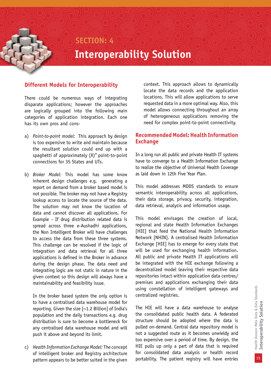### **SECTION: 4 Interoperability Solution**

### **Different Models for Interoperability**

There could be numerous ways of integrating disparate applications; however the approaches are logically grouped into the following main categories of application integration. Each one has its own pros and cons-

- a) *Point-to-point model:* This approach by design is too expensive to write and maintain because the resultant solution could end up with a spaghetti of approximately  $(X)^n$  point-to-point connections for 35 States and UTs.
- b) *Broker Model:* This model has some know inherent design challenges e.g. generating a report on demand from a broker based model is not possible. The broker may not have a Registry lookup access to locate the source of the data. The solution may not know the location of data and cannot discover all applications. For Example - If drug distribution related data is spread across three e-Aushadhi applications, the Non Intelligent Broker will have challenges to access the data from these three systems. This challenge can be resolved if the logic of integration and data retrieval for all three applications is defined in the Broker in advance during the design phase. The data need and integrating logic are not static in nature in the given context so this design will always have a maintainability and feasibility issue.

In the broker based system the only option is to have a centralised data warehouse model for reporting. Given the size [~1.2 Billion] of India's population and the daily transactions e.g. drug distribution is sure to become a bottleneck for any centralised data warehouse model and will push it above and beyond its limit.

c) *Health Information Exchange Model:* The concept of intelligent broker and Registry architecture pattern appears to be better suited in the given

context. This approach allows to dynamically locate the data records and the application locations. This will allow applications to serve requested data in a more optimal way. Also, this model allows connecting throughout an array of heterogeneous applications removing the need for complex point-to-point connectivity.

#### **Recommended Model: Health Information Exchange**

In a long run all public and private Health IT systems have to converge to a Health Information Exchange to realize the objective of Universal Health Coverage as laid down in 12th Five Year Plan.

This model addresses MDDS standards to ensure semantic interoperability across all applications, their data storage, privacy, security, integration, data retrieval, analysis and information usage.

This model envisages the creation of local, regional and state Health Information Exchanges [HIE] that feed the National Health Information Network [NHIN]. A centralised Health Information Exchange [HIE] has to emerge for every state that will be used for exchanging health information. All public and private Health IT applications will be integrated with the HIE exchange following a decentralized model leaving their respective data repositories intact within application data centres/ premises and applications exchanging their data using constellation of intelligent gateways and centralized registries.

The HIE will have a data warehouse to analyse the consolidated public health data. A federated structure should be adopted where the data is pulled on-demand. Central data repository model is not a suggested route as it becomes unwieldy and too expensive over a period of time. By design, the HIE pulls up only a part of data that is required for consolidated data analysis or health record portability. The patient registry will have entries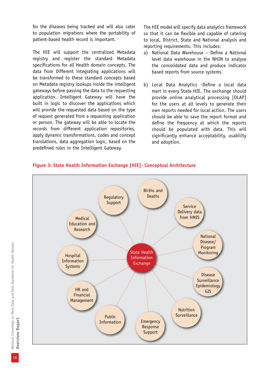for the diseases being tracked and will also cater to population migrations where the portability of patient-based health record is important.

The HIE will support the centralized Metadata registry and register the standard Metadata specifications for all Health domain concepts. The data from Different integrating applications will be transformed to these standard concepts based on Metadata registry lookups inside the intelligent gateways before passing the data to the requesting application. Intelligent Gateway will have the built in logic to discover the applications which will provide the requested data based on the type of request generated from a requesting application or person. The gateway will be able to locate the records from different application repositories, apply dynamic transformations, codes and concept translations, data aggregation logic, based on the predefined rules in the Intelligent Gateway.

The HIE model will specify data analytics framework so that it can be flexible and capable of catering to local, District, State and National analysis and reporting requirements. This includes:

- a) National Data Warehouse Define a National level data warehouse in the NHIN to analyse the consolidated data and produce indicator based reports from source systems.
- b) Local Data Analytics -Define a local data mart in every State HIE. The exchange should provide online analytical processing [OLAP] for the users at all levels to generate their own reports needed for local action. The users should be able to save the report format and define the frequency at which the reports should be populated with data. This will significantly enhance acceptability, usability and adoption.



#### **Figure 3: State Health Information Exchange [HIE]- Conceptual Architecture**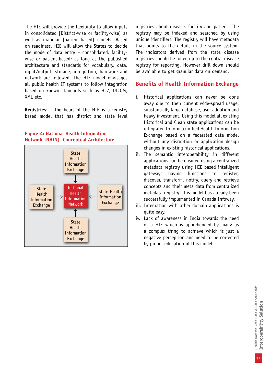The HIE will provide the flexibility to allow inputs in consolidated [District-wise or facility-wise] as well as granular [patient-based] models. Based on readiness, HIE will allow the States to decide the mode of data entry – consolidated, facilitywise or patient-based; as long as the published architecture and standards for vocabulary, data, input/output, storage, integration, hardware and network are followed. The HIE model envisages all public health IT systems to follow integration based on known standards such as HL7, DICOM, XML etc.

**Registries**: - The heart of the HIE is a registry based model that has district and state level



#### **Figure-4: National Health Information Network [NHIN]- Conceptual Architecture**

registries about disease, facility and patient. The registry may be indexed and searched by using unique identifiers. The registry will have metadata that points to the details in the source system. The indicators derived from the state disease registries should be rolled up to the central disease registry for reporting. However drill down should be available to get granular data on demand.

#### **Benefits of Health Information Exchange**

- i. Historical applications can never be done away due to their current wide-spread usage, substantially large database, user adoption and heavy investment. Using this model all existing Historical and Clean state applications can be integrated to form a unified Health Information Exchange based on a federated data model without any disruption or application design changes in existing historical applications.
- ii. The semantic interoperability in different applications can be ensured using a centralized metadata registry using HIE based intelligent gateways having functions to register, discover, transform, notify, query and retrieve concepts and their meta data from centralized metadata registry. This model has already been successfully implemented in Canada Infoway.
- iii. Integration with other domain applications is quite easy.
- iv. Lack of awareness in India towards the need of a HIE which is apprehended by many as a complex thing to achieve which is just a negative perception and need to be corrected by proper education of this model.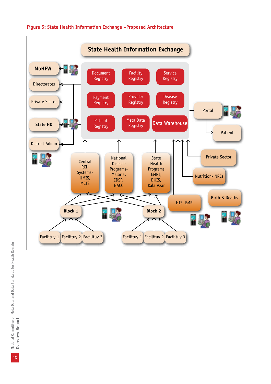

#### **Figure 5: State Health Information Exchange –Proposed Architecture**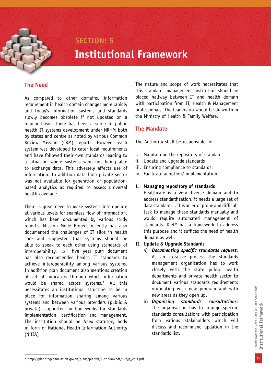### **SECTION: 5 Institutional Framework**

#### **The Need**

As compared to other domains, information requirement in health domain changes more rapidly and today's information systems and standards slowly becomes obsolete if not updated on a regular basis. There has been a surge in public health IT systems development under NRHM both by states and centre as noted by various Common Review Mission (CRM) reports. However each system was developed to cater local requirements and have followed their own standards leading to a situation where systems were not being able to exchange data. This adversely affects use of information. In addition data from private sector was not available for generation of populationbased analytics as required to assess universal health coverage.

There is great need to make systems interoperate at various levels for seamless flow of information, which has been documented by various study reports. Mission Mode Project recently has also documented the challenges of IT silos in health care and suggested that systems should be able to speak to each other using standards of interoperability. 12<sup>th</sup> five year plan document has also recommended health IT standards to achieve interoperability among various systems. In addition plan document also mentions creation of set of indicators through which information would be shared across systems.\* All this necessitates an institutional structure to be in place for information sharing among various systems and between various providers (public & private), supported by frameworks for standards implementation, certification and management. The institution should be Apex statutory body in form of National Health Information Authority (NHIA)

The nature and scope of work necessitates that this standards management institution should be placed halfway between IT and health domain with participation from IT, Health & Management professionals. The leadership would be drawn from the Ministry of Health & Family Welfare.

#### **The Mandate**

The Authority shall be responsible for,

- i. Maintaining the repository of standards
- ii. Update and upgrade standards
- iii. Ensuring compliance to standards.
- iv. Facilitate adoption/ implementation

#### **I. Managing repository of standards**

Healthcare is a very diverse domain and to address standardization, it needs a large set of data standards. . It is an error prone and difficult task to manage these standards manually and would require automated management of standards. DietY has a framework to address this purpose and it suffices the need of health domain as well.

#### **II. Update & Upgrade Standards**

- a) *Documenting specific standards request*: As an iterative process the standards management organisation has to work closely with the state public health departments and private health sector to document various standards requirements originating with new program and with new areas as they open up.
- b) *Organising standards consultations*: The organisation has to arrange specific standards consultations with participation from various stakeholders which will discuss and recommend updation in the standards list.

<sup>\*</sup> http://planningcommission.gov.in/plans/planrel/12thplan/pdf/12fyp\_vol3.pdf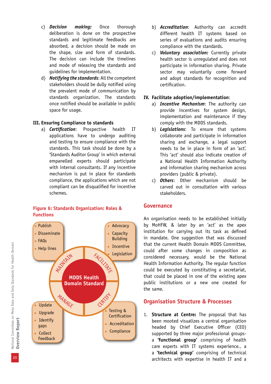- c) *Decision making:* Once thorough deliberation is done on the prospective standards and legitimate feedbacks are absorbed, a decision should be made on the shape, size and form of standards. The decision can include the timelines and mode of releasing the standards and guidelines for implementation.
- d) *Notifying the standards*: All the competent stakeholders should be dully notified using the prevalent mode of communication by standards organization. The standards once notified should be available in public space for usage.

#### **III. Ensuring Compliance to standards**

a) *Certification*: Prospective health IT applications have to undergo auditing and testing to ensure compliance with the standards. This task should be done by a 'Standards Auditor Group' in which external empanelled experts should participate with internal consultants. If any incentive mechanism is put in place for standards compliance, the applications which are not compliant can be disqualified for incentive schemes.



#### **Figure 6: Standards Organization: Roles & Functions**

- b) *Accreditation*: Authority can accredit different health IT systems based on series of evaluations and audits ensuring compliance with the standards.
- c) *Voluntary association:* Currently private health sector is unregulated and does not participate in information sharing. Private sector may voluntarily come forward and adopt standards for recognition and certification.

#### **IV. Facilitate adoption/implementation**:

- a) *Incentive Mechanism*: The authority can provide incentives for system design, implementation and maintenance if they comply with the MDDS standards.
- b) *Legislations*: To ensure that systems collaborate and participate in information sharing and exchange, a legal support needs to be in place in form of an 'act'. This 'act' should also indicate creation of a National Health Information Authority and information sharing mechanism across providers (public & private).
- c) *Others*: Other mechanism should be carved out in consultation with various stakeholders.

#### **Governance**

An organisation needs to be established initially by MoHFW, & later by an 'act' as the apex institution for carrying out its task as defined in mandate. One suggestion that was discussed that the current Health Domain MDDS Committee, could after some changes in composition as considered necessary, would be the National Health Information Authority. The regular function could be executed by constituting a secretariat, that could be placed in one of the existing apex public institutions or a new one created for the same.

#### **Organisation Structure & Processes**

1. **Structure at Centre:** The proposal that has been mooted visualizes a central organisation headed by Chief Executive Officer (CEO) supported by three major professional groupsa **'functional group'** comprising of health care experts with IT systems experience., a a **'technical group'** comprising of technical architects with expertise in health IT and a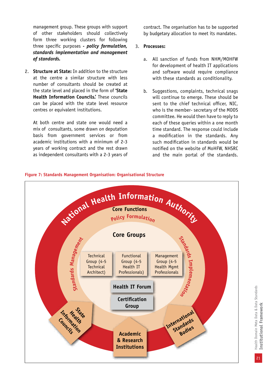management group. These groups with support of other stakeholders should collectively form three working clusters for following three specific purposes *- policy formulation, standards implementation and management of standards.*

2. **Structure at State:** In addition to the structure at the centre a similar structure with less number of consultants should be created at the state level and placed in the form of **'State Health Information Councils.'** These councils can be placed with the state level resource centres or equivalent institutions.

At both centre and state one would need a mix of consultants, some drawn on deputation basis from government services or from academic institutions with a minimum of 2-3 years of working contract and the rest drawn as independent consultants with a 2-3 years of contract. The organisation has to be supported by budgetary allocation to meet its mandates.

#### 3. **Processes:**

- a. All sanction of funds from NHM/MOHFW for development of health IT applications and software would require compliance with these standards as conditionality.
- b. Suggestions, complaints, technical snags will continue to emerge. These should be sent to the chief technical officer, NIC, who is the member- secretary of the MDDS committee. He would then have to reply to each of these queries within a one month time standard. The response could include a modification in the standards. Any such modification in standards would be notified on the website of MoHFW, NHSRC and the main portal of the standards.



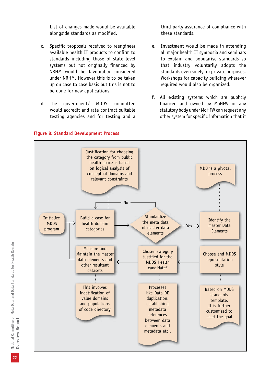List of changes made would be available alongside standards as modified.

- c. Specific proposals received to reengineer available health IT products to confirm to standards including those of state level systems but not originally financed by NRHM would be favourably considered under NRHM. However this is to be taken up on case to case basis but this is not to be done for new applications.
- d. The government/ MDDS committee would accredit and rate contract suitable testing agencies and for testing and a

third party assurance of compliance with these standards.

- e. Investment would be made in attending all major health IT symposia and seminars to explain and popularise standards so that industry voluntarily adopts the standards even solely for private purposes. Workshops for capacity building wherever required would also be organized.
- f. All existing systems which are publicly financed and owned by MoHFW or any statutory body under MoHFW can request any other system for specific information that it



#### **Figure 8: Standard Development Process**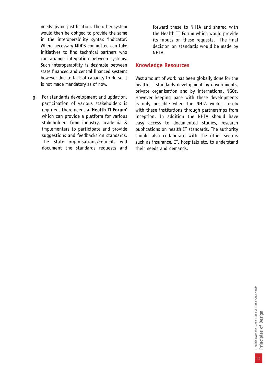needs giving justification. The other system would then be obliged to provide the same in the interoperability syntax 'indicator'. Where necessary MDDS committee can take initiatives to find technical partners who can arrange integration between systems. Such interoperability is desirable between state financed and central financed systems however due to lack of capacity to do so it is not made mandatory as of now.

g. For standards development and updation, participation of various stakeholders is required. There needs a **'Health IT Forum'**  which can provide a platform for various stakeholders from industry, academia & implementers to participate and provide suggestions and feedbacks on standards. The State organisations/councils will document the standards requests and forward these to NHIA and shared with the Health IT Forum which would provide its inputs on these requests. The final decision on standards would be made by NHIA.

#### **Knowledge Resources**

Vast amount of work has been globally done for the health IT standards development by governments, private organisation and by international NGOs. However keeping pace with these developments is only possible when the NHIA works closely with these institutions through partnerships from inception. In addition the NHIA should have easy access to documented studies, research publications on health IT standards. The authority should also collaborate with the other sectors such as insurance, IT, hospitals etc. to understand their needs and demands.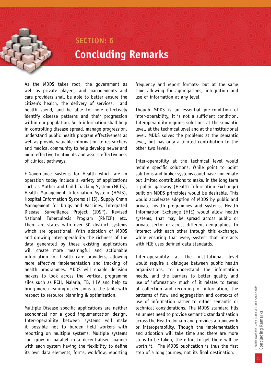### **SECTION: 6 Concluding Remarks**

As the MDDS takes root, the government as well as private players, and managements and care providers shall be able to better ensure the citizen's health, the delivery of services, and health spend, and be able to more effectively identify disease patterns and their progression within our population. Such information shall help in controlling disease spread, manage progression, understand public health program effectiveness as well as provide valuable information to researchers and medical community to help develop newer and more effective treatments and assess effectiveness of clinical pathways.

E-Governance systems for Health which are in operation today include a variety of applications such as Mother and Child Tracking System (MCTS), Health Management Information System (HMIS), Hospital Information Systems (HIS), Supply Chain Management for Drugs and Vaccines, Integrated Disease Surveillance Project (IDSP), Revised National Tuberculosis Program (RNTCP) etc. There are states with over 30 distinct systems which are operational. With adoption of MDDS and growing inter-operability the richness of the data generated by these existing applications will create more meaningful and actionable information for health care providers, allowing more effective implementation and tracking of health programmes. MDDS will enable decision makers to look across the vertical programme silos such as RCH, Malaria, TB, HIV and help to bring more meaningful decisions to the table with respect to resource planning & optimisation.

Multiple Disease specific applications are neither economical nor a good implementation design. Inter-operability between systems will make it possible not to burden field workers with reporting on multiple systems. Multiple systems can grow in parallel in a decentralised manner with each system having the flexibility to define its own data elements, forms, workflow, reporting

frequency and report formats- but at the same time allowing for aggregations, integration and use of information at any level.

Though MDDS is an essential pre-condition of inter-operability, it is not a sufficient condition. Interoperability requires solutions at the semantic level, at the technical level and at the institutional level. MDDS solves the problems at the semantic level, but has only a limited contribution to the other two levels.

Inter-operability at the technical level would require specific solutions. While point to point solutions and broker systems could have immediate but limited contributions to make, in the long term a public gateway (Health Information Exchange) built on MDDS principles would be desirable. This would accelerate adoption of MDDS by public and private health programmes and systems, Health Information Exchange (HIE) would allow health systems, that may be spread across public or private sector or across different geographies, to interact with each other through this exchange, while ensuring that every system that interacts with HIE uses defined data standards.

Inter-operability at the institutional level would require a dialogue between public health organizations, to understand the information needs, and the barriers to better quality and use of information- much of it relates to terms of collection and recording of information, the patterns of flow and aggregation and contexts of use of information rather to either semantic or technical considerations. The MDDS standard fills an unmet need to provide semantic standardisation across the Health domain and provides a framework or interoperability. Though the implementation and adoption will take time and there are more steps to be taken, the effort to get there will be worth it. The MDDS publication is thus the first step of a long journey, not its final destination.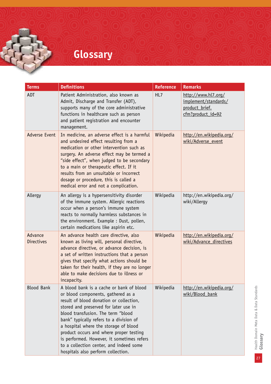# **Glossary**

| <b>Terms</b>                 | <b>Definitions</b>                                                                                                                                                                                                                                                                                                                                                                                                                                                     | <b>Reference</b> | <b>Remarks</b>                                                                     |
|------------------------------|------------------------------------------------------------------------------------------------------------------------------------------------------------------------------------------------------------------------------------------------------------------------------------------------------------------------------------------------------------------------------------------------------------------------------------------------------------------------|------------------|------------------------------------------------------------------------------------|
| ADT                          | Patient Administration, also known as<br>Admit, Discharge and Transfer (ADT),<br>supports many of the core administrative<br>functions in healthcare such as person<br>and patient registration and encounter<br>management.                                                                                                                                                                                                                                           | HL7              | http://www.hl7.org/<br>implement/standards/<br>product brief.<br>cfm?product_id=92 |
| <b>Adverse Event</b>         | In medicine, an adverse effect is a harmful<br>and undesired effect resulting from a<br>medication or other intervention such as<br>surgery. An adverse effect may be termed a<br>"side effect", when judged to be secondary<br>to a main or therapeutic effect. If it<br>results from an unsuitable or incorrect<br>dosage or procedure, this is called a<br>medical error and not a complication.                                                                    | Wikipedia        | http://en.wikipedia.org/<br>wiki/Adverse event                                     |
| Allergy                      | An allergy is a hypersensitivity disorder<br>of the immune system. Allergic reactions<br>occur when a person's immune system<br>reacts to normally harmless substances in<br>the environment. Example : Dust, pollen,<br>certain medications like aspirin etc.                                                                                                                                                                                                         | Wikipedia        | http://en.wikipedia.org/<br>wiki/Allergy                                           |
| Advance<br><b>Directives</b> | An advance health care directive, also<br>known as living will, personal directive,<br>advance directive, or advance decision, is<br>a set of written instructions that a person<br>gives that specify what actions should be<br>taken for their health, if they are no longer<br>able to make decisions due to illness or<br>incapacity.                                                                                                                              | Wikipedia        | http://en.wikipedia.org/<br>wiki/Advance directives                                |
| <b>Blood Bank</b>            | A blood bank is a cache or bank of blood<br>or blood components, gathered as a<br>result of blood donation or collection,<br>stored and preserved for later use in<br>blood transfusion. The term "blood<br>bank" typically refers to a division of<br>a hospital where the storage of blood<br>product occurs and where proper testing<br>is performed. However, it sometimes refers<br>to a collection center, and indeed some<br>hospitals also perform collection. | Wikipedia        | http://en.wikipedia.org/<br>wiki/Blood_bank                                        |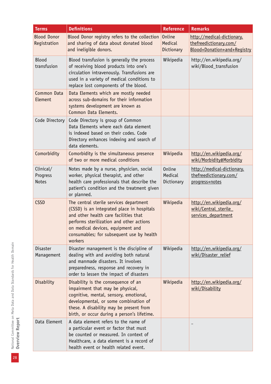| <b>Terms</b>                          | <b>Definitions</b>                                                                                                                                                                                                                                                      | <b>Reference</b>                       | <b>Remarks</b>                                                                      |
|---------------------------------------|-------------------------------------------------------------------------------------------------------------------------------------------------------------------------------------------------------------------------------------------------------------------------|----------------------------------------|-------------------------------------------------------------------------------------|
| <b>Blood Donor</b><br>Registration    | Blood Donor registry refers to the collection<br>and sharing of data about donated blood<br>and ineligible donors.                                                                                                                                                      | <b>Online</b><br>Medical<br>Dictionary | http://medical-dictionary.<br>thefreedictionary.com/<br>Blood+Donation+and+Registry |
| <b>Blood</b><br>transfusion           | Blood transfusion is generally the process<br>of receiving blood products into one's<br>circulation intravenously. Transfusions are<br>used in a variety of medical conditions to<br>replace lost components of the blood.                                              | Wikipedia                              | http://en.wikipedia.org/<br>wiki/Blood_transfusion                                  |
| <b>Common Data</b><br>Element         | Data Elements which are mostly needed<br>across sub-domains for their information<br>systems development are known as<br>Common Data Elements.                                                                                                                          |                                        |                                                                                     |
| Code Directory                        | Code Directory is group of Common<br>Data Elements where each data element<br>is indexed based on their codes. Code<br>Directory enhances indexing and search of<br>data elements.                                                                                      |                                        |                                                                                     |
| Comorbidity                           | Comorbidity is the simultaneous presence<br>of two or more medical conditions                                                                                                                                                                                           | Wikipedia                              | http://en.wikipedia.org/<br>wiki/Morbidity#Morbidity                                |
| Clinical/<br>Progress<br><b>Notes</b> | Notes made by a nurse, physician, social<br>worker, physical therapist, and other<br>health care professionals that describe the<br>patient's condition and the treatment given<br>or planned.                                                                          | Online<br>Medical<br>Dictionary        | http://medical-dictionary.<br>thefreedictionary.com/<br>progress+notes              |
| <b>CSSD</b>                           | The central sterile services department<br>(CSSD) is an integrated place in hospitals<br>and other health care facilities that<br>performs sterilization and other actions<br>on medical devices, equipment and<br>consumables; for subsequent use by health<br>workers | Wikipedia                              | http://en.wikipedia.org/<br>wiki/Central sterile<br>services department             |
| <b>Disaster</b><br>Management         | Disaster management is the discipline of<br>dealing with and avoiding both natural<br>and manmade disasters. It involves<br>preparedness, response and recovery in<br>order to lessen the impact of disasters                                                           | Wikipedia                              | http://en.wikipedia.org/<br>wiki/Disaster relief                                    |
| Disability                            | Disability is the consequence of an<br>impairment that may be physical,<br>cognitive, mental, sensory, emotional,<br>developmental, or some combination of<br>these. A disability may be present from<br>birth, or occur during a person's lifetime.                    | Wikipedia                              | http://en.wikipedia.org/<br>wiki/Disability                                         |
| Data Element                          | A data element refers to the name of<br>a particular event or factor that must<br>be counted or measured. In context of<br>Healthcare, a data element is a record of<br>health event or health related event.                                                           |                                        |                                                                                     |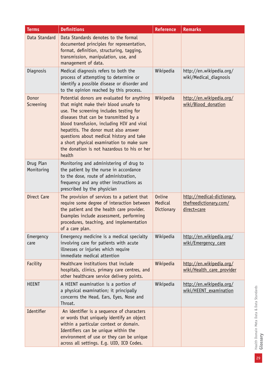| <b>Terms</b>            | <b>Definitions</b>                                                                                                                                                                                                                                                                                                                                                                                                | <b>Reference</b>                       | <b>Remarks</b>                                                      |
|-------------------------|-------------------------------------------------------------------------------------------------------------------------------------------------------------------------------------------------------------------------------------------------------------------------------------------------------------------------------------------------------------------------------------------------------------------|----------------------------------------|---------------------------------------------------------------------|
| Data Standard           | Data Standards denotes to the formal<br>documented principles for representation,<br>format, definition, structuring, tagging,<br>transmission, manipulation, use, and<br>management of data.                                                                                                                                                                                                                     |                                        |                                                                     |
| Diagnosis               | Medical diagnosis refers to both the<br>process of attempting to determine or<br>identify a possible disease or disorder and<br>to the opinion reached by this process.                                                                                                                                                                                                                                           | Wikipedia                              | http://en.wikipedia.org/<br>wiki/Medical_diagnosis                  |
| Donor<br>Screening      | Potential donors are evaluated for anything<br>that might make their blood unsafe to<br>use. The screening includes testing for<br>diseases that can be transmitted by a<br>blood transfusion, including HIV and viral<br>hepatitis. The donor must also answer<br>questions about medical history and take<br>a short physical examination to make sure<br>the donation is not hazardous to his or her<br>health | Wikipedia                              | http://en.wikipedia.org/<br>wiki/Blood_donation                     |
| Drug Plan<br>Monitoring | Monitoring and administering of drug to<br>the patient by the nurse in accordance<br>to the dose, route of administration,<br>frequency and any other instructions as<br>prescribed by the physician                                                                                                                                                                                                              |                                        |                                                                     |
| Direct Care             | The provision of services to a patient that<br>require some degree of interaction between<br>the patient and the health care provider.<br>Examples include assessment, performing<br>procedures, teaching, and implementation<br>of a care plan.                                                                                                                                                                  | <b>Online</b><br>Medical<br>Dictionary | http://medical-dictionary.<br>thefreedictionary.com/<br>direct+care |
| Emergency<br>care       | Emergency medicine is a medical specialty<br>involving care for patients with acute<br>illnesses or injuries which require<br>immediate medical attention                                                                                                                                                                                                                                                         | Wikipedia                              | http://en.wikipedia.org/<br>wiki/Emergency care                     |
| Facility                | Healthcare institutions that include<br>hospitals, clinics, primary care centres, and<br>other healthcare service delivery points.                                                                                                                                                                                                                                                                                | Wikipedia                              | http://en.wikipedia.org/<br>wiki/Health_care_provider               |
| <b>HEENT</b>            | A HEENT examination is a portion of<br>a physical examination; it principally<br>concerns the Head, Ears, Eyes, Nose and<br>Throat.                                                                                                                                                                                                                                                                               | Wikipedia                              | http://en.wikipedia.org/<br>wiki/HEENT examination                  |
| Identifier              | An identifier is a sequence of characters<br>or words that uniquely identify an object<br>within a particular context or domain.<br>Identifiers can be unique within the<br>environment of use or they can be unique<br>across all settings. E.g. UID, ICD Codes.                                                                                                                                                 |                                        |                                                                     |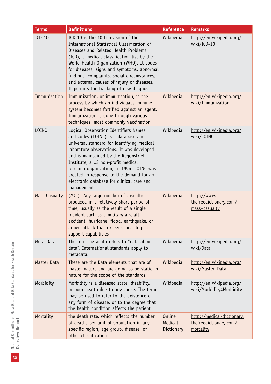| <b>Terms</b>         | <b>Definitions</b>                                                                                                                                                                                                                                                                                                                                                                                            | <b>Reference</b>                       | <b>Remarks</b>                                                    |
|----------------------|---------------------------------------------------------------------------------------------------------------------------------------------------------------------------------------------------------------------------------------------------------------------------------------------------------------------------------------------------------------------------------------------------------------|----------------------------------------|-------------------------------------------------------------------|
| <b>ICD 10</b>        | ICD-10 is the 10th revision of the<br>International Statistical Classification of<br>Diseases and Related Health Problems<br>(ICD), a medical classification list by the<br>World Health Organization (WHO). It codes<br>for diseases, signs and symptoms, abnormal<br>findings, complaints, social circumstances,<br>and external causes of injury or diseases.<br>It permits the tracking of new diagnosis. | Wikipedia                              | http://en.wikipedia.org/<br>wiki/ICD-10                           |
| Immunization         | Immunization, or immunisation, is the<br>process by which an individual's immune<br>system becomes fortified against an agent.<br>Immunization is done through various<br>techniques, most commonly vaccination                                                                                                                                                                                               | Wikipedia                              | http://en.wikipedia.org/<br>wiki/Immunization                     |
| <b>LOINC</b>         | Logical Observation Identifiers Names<br>and Codes (LOINC) is a database and<br>universal standard for identifying medical<br>laboratory observations. It was developed<br>and is maintained by the Regenstrief<br>Institute, a US non-profit medical<br>research organization, in 1994. LOINC was<br>created in response to the demand for an<br>electronic database for clinical care and<br>management.    | Wikipedia                              | http://en.wikipedia.org/<br>wiki/LOINC                            |
| <b>Mass Casualty</b> | (MCI) Any large number of casualties<br>produced in a relatively short period of<br>time, usually as the result of a single<br>incident such as a military aircraft<br>accident, hurricane, flood, earthquake, or<br>armed attack that exceeds local logistic<br>support capabilities                                                                                                                         | Wikipedia                              | http://www.<br>thefreedictionary.com/<br>mass+casualty            |
| Meta Data            | The term metadata refers to "data about<br>data". International standards apply to<br>metadata.                                                                                                                                                                                                                                                                                                               | Wikipedia                              | http://en.wikipedia.org/<br>wiki/Data                             |
| Master Data          | These are the Data elements that are of<br>master nature and are going to be static in<br>nature for the scope of the standards.                                                                                                                                                                                                                                                                              | Wikipedia                              | http://en.wikipedia.org/<br>wiki/Master_Data                      |
| Morbidity            | Morbidity is a diseased state, disability,<br>or poor health due to any cause. The term<br>may be used to refer to the existence of<br>any form of disease, or to the degree that<br>the health condition affects the patient                                                                                                                                                                                 | Wikipedia                              | http://en.wikipedia.org/<br>wiki/Morbidity#Morbidity              |
| Mortality            | the death rate, which reflects the number<br>of deaths per unit of population in any<br>specific region, age group, disease, or<br>other classification                                                                                                                                                                                                                                                       | <b>Online</b><br>Medical<br>Dictionary | http://medical-dictionary.<br>thefreedictionary.com/<br>mortality |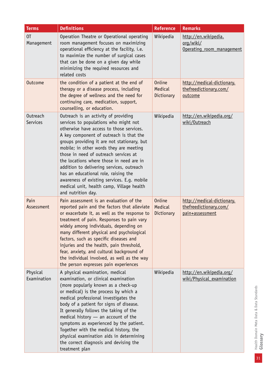| <b>Terms</b>                       | <b>Definitions</b>                                                                                                                                                                                                                                                                                                                                                                                                                                                                                                                                         | <b>Reference</b>                       | <b>Remarks</b>                                                          |
|------------------------------------|------------------------------------------------------------------------------------------------------------------------------------------------------------------------------------------------------------------------------------------------------------------------------------------------------------------------------------------------------------------------------------------------------------------------------------------------------------------------------------------------------------------------------------------------------------|----------------------------------------|-------------------------------------------------------------------------|
| 0T<br>Management                   | Operation Theatre or Operational operating<br>room management focuses on maximizing<br>operational efficiency at the facility, i.e.<br>to maximize the number of surgical cases<br>that can be done on a given day while<br>minimizing the required resources and<br>related costs                                                                                                                                                                                                                                                                         | Wikipedia                              | http://en.wikipedia.<br>org/wiki/<br>Operating room management          |
| <b>Outcome</b>                     | the condition of a patient at the end of<br>therapy or a disease process, including<br>the degree of wellness and the need for<br>continuing care, medication, support,<br>counselling, or education.                                                                                                                                                                                                                                                                                                                                                      | <b>Online</b><br>Medical<br>Dictionary | http://medical-dictionary.<br>thefreedictionary.com/<br>outcome         |
| <b>Outreach</b><br><b>Services</b> | Outreach is an activity of providing<br>services to populations who might not<br>otherwise have access to those services.<br>A key component of outreach is that the<br>groups providing it are not stationary, but<br>mobile; in other words they are meeting<br>those in need of outreach services at<br>the locations where those in need are in<br>addition to delivering services, outreach<br>has an educational role, raising the<br>awareness of existing services. E.g. mobile<br>medical unit, health camp, Village health<br>and nutrition day. | Wikipedia                              | http://en.wikipedia.org/<br>wiki/Outreach                               |
| Pain<br>Assessment                 | Pain assessment is an evaluation of the<br>reported pain and the factors that alleviate<br>or exacerbate it, as well as the response to<br>treatment of pain. Responses to pain vary<br>widely among individuals, depending on<br>many different physical and psychological<br>factors, such as specific diseases and<br>injuries and the health, pain threshold,<br>fear, anxiety, and cultural background of<br>the individual involved, as well as the way<br>the person expresses pain experiences                                                     | <b>Online</b><br>Medical<br>Dictionary | http://medical-dictionary.<br>thefreedictionary.com/<br>pain+assessment |
| Physical<br>Examination            | A physical examination, medical<br>examination, or clinical examination<br>(more popularly known as a check-up<br>or medical) is the process by which a<br>medical professional investigates the<br>body of a patient for signs of disease.<br>It generally follows the taking of the<br>medical history - an account of the<br>symptoms as experienced by the patient.<br>Together with the medical history, the<br>physical examination aids in determining<br>the correct diagnosis and devising the<br>treatment plan                                  | Wikipedia                              | http://en.wikipedia.org/<br>wiki/Physical examination                   |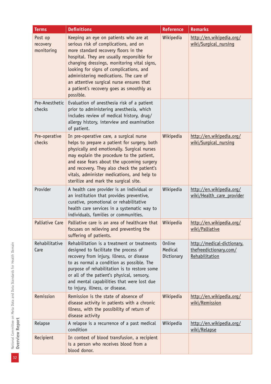| <b>Terms</b>                      | <b>Definitions</b>                                                                                                                                                                                                                                                                                                                                                                                            | <b>Reference</b>                | <b>Remarks</b>                                                         |
|-----------------------------------|---------------------------------------------------------------------------------------------------------------------------------------------------------------------------------------------------------------------------------------------------------------------------------------------------------------------------------------------------------------------------------------------------------------|---------------------------------|------------------------------------------------------------------------|
| Post op<br>recovery<br>monitoring | Keeping an eye on patients who are at<br>serious risk of complications, and on<br>more standard recovery floors in the<br>hospital. They are usually responsible for<br>changing dressings, monitoring vital signs,<br>looking for signs of complications, and<br>administering medications. The care of<br>an attentive surgical nurse ensures that<br>a patient's recovery goes as smoothly as<br>possible. | Wikipedia                       | http://en.wikipedia.org/<br>wiki/Surgical nursing                      |
| Pre-Anesthetic<br>checks          | Evaluation of anesthesia risk of a patient<br>prior to administering anesthesia, which<br>includes review of medical history, drug/<br>allergy history, interview and examination<br>of patient.                                                                                                                                                                                                              |                                 |                                                                        |
| Pre-operative<br>checks           | In pre-operative care, a surgical nurse<br>helps to prepare a patient for surgery, both<br>physically and emotionally. Surgical nurses<br>may explain the procedure to the patient,<br>and ease fears about the upcoming surgery<br>and recovery. They also check the patient's<br>vitals, administer medications, and help to<br>sterilize and mark the surgical site.                                       | Wikipedia                       | http://en.wikipedia.org/<br>wiki/Surgical nursing                      |
| Provider                          | A health care provider is an individual or<br>an institution that provides preventive,<br>curative, promotional or rehabilitative<br>health care services in a systematic way to<br>individuals, families or communities.                                                                                                                                                                                     | Wikipedia                       | http://en.wikipedia.org/<br>wiki/Health care provider                  |
| Palliative Care                   | Palliative care is an area of healthcare that<br>focuses on relieving and preventing the<br>suffering of patients.                                                                                                                                                                                                                                                                                            | Wikipedia                       | http://en.wikipedia.org/<br>wiki/Palliative                            |
| Rehabilitative<br>Care            | Rehabilitation is a treatment or treatments<br>designed to facilitate the process of<br>recovery from injury, illness, or disease<br>to as normal a condition as possible. The<br>purpose of rehabilitation is to restore some<br>or all of the patient's physical, sensory,<br>and mental capabilities that were lost due<br>to injury, illness, or disease.                                                 | Online<br>Medical<br>Dictionary | http://medical-dictionary.<br>thefreedictionary.com/<br>Rehabilitation |
| Remission                         | Remission is the state of absence of<br>disease activity in patients with a chronic<br>illness, with the possibility of return of<br>disease activity                                                                                                                                                                                                                                                         | Wikipedia                       | http://en.wikipedia.org/<br>wiki/Remission                             |
| Relapse                           | A relapse is a recurrence of a past medical<br>condition                                                                                                                                                                                                                                                                                                                                                      | Wikipedia                       | http://en.wikipedia.org/<br>wiki/Relapse                               |
| Recipient                         | In context of blood transfusion, a recipient<br>is a person who receives blood from a<br>blood donor.                                                                                                                                                                                                                                                                                                         |                                 |                                                                        |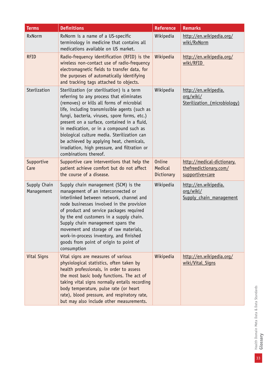| <b>Terms</b>               | <b>Definitions</b>                                                                                                                                                                                                                                                                                                                                                                                                                                                                                  | <b>Reference</b>                       | <b>Remarks</b>                                                          |
|----------------------------|-----------------------------------------------------------------------------------------------------------------------------------------------------------------------------------------------------------------------------------------------------------------------------------------------------------------------------------------------------------------------------------------------------------------------------------------------------------------------------------------------------|----------------------------------------|-------------------------------------------------------------------------|
| <b>RxNorm</b>              | RxNorm is a name of a US-specific<br>terminology in medicine that contains all<br>medications available on US market.                                                                                                                                                                                                                                                                                                                                                                               | Wikipedia                              | http://en.wikipedia.org/<br>wiki/RxNorm                                 |
| <b>RFID</b>                | Radio-frequency identification (RFID) is the<br>wireless non-contact use of radio-frequency<br>electromagnetic fields to transfer data, for<br>the purposes of automatically identifying<br>and tracking tags attached to objects.                                                                                                                                                                                                                                                                  | Wikipedia                              | http://en.wikipedia.org/<br>wiki/RFID                                   |
| Sterlization               | Sterilization (or sterilisation) is a term<br>referring to any process that eliminates<br>(removes) or kills all forms of microbial<br>life, including transmissible agents (such as<br>fungi, bacteria, viruses, spore forms, etc.)<br>present on a surface, contained in a fluid,<br>in medication, or in a compound such as<br>biological culture media. Sterilization can<br>be achieved by applying heat, chemicals,<br>irradiation, high pressure, and filtration or<br>combinations thereof. | Wikipedia                              | http://en.wikipedia.<br>org/wiki/<br>Sterilization (microbiology)       |
| Supportive<br>Care         | Supportive care interventions that help the<br>patient achieve comfort but do not affect<br>the course of a disease.                                                                                                                                                                                                                                                                                                                                                                                | <b>Online</b><br>Medical<br>Dictionary | http://medical-dictionary.<br>thefreedictionary.com/<br>supportive+care |
| Supply Chain<br>Management | Supply chain management (SCM) is the<br>management of an interconnected or<br>interlinked between network, channel and<br>node businesses involved in the provision<br>of product and service packages required<br>by the end customers in a supply chain.<br>Supply chain management spans the<br>movement and storage of raw materials,<br>work-in-process inventory, and finished<br>goods from point of origin to point of<br>consumption                                                       | Wikipedia                              | http://en.wikipedia.<br>org/wiki/<br>Supply chain management            |
| Vital Signs                | Vital signs are measures of various<br>physiological statistics, often taken by<br>health professionals, in order to assess<br>the most basic body functions. The act of<br>taking vital signs normally entails recording<br>body temperature, pulse rate (or heart<br>rate), blood pressure, and respiratory rate,<br>but may also include other measurements.                                                                                                                                     | Wikipedia                              | http://en.wikipedia.org/<br>wiki/Vital Signs                            |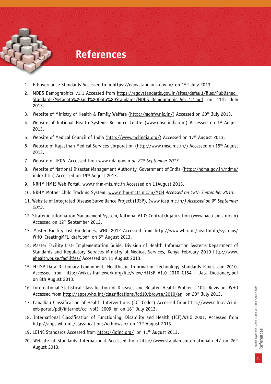### **References**

- 1. E-Governance Standards Accessed from https://egovstandards.gov.in/ on 15th July 2013.
- 2. MDDS Demographics v1.1 Accessed from https://egovstandards.gov.in/sites/default/files/Published\_ Standards/Metadata%20and%20Data%20Standards/MDDS\_Demographic\_Ver\_1.1.pdf on 11th July 2013.
- 3. Website of Ministry of Health & Family Welfare (http://mohfw.nic.in/) Accessed on 20<sup>th</sup> July 2013.
- 4. Website of National Health Systems Resource Centre (www.nhsrcindia.org) Accessed on 1<sup>st</sup> August 2013.
- 5. Website of Medical Council of India (http://www.mciindia.org/) Accessed on 17<sup>th</sup> August 2013.
- 6. Website of Rajasthan Medical Services Corporation (http://www.rmsc.nic.in/) Accessed on 15th August 2013.
- 7. Website of IRDA. Accessed from www.irda.gov.in *on 21st September 2013.*
- 8. Website of National Disaster Management Authority, Government of India (http://ndma.gov.in/ndma/ index.htm) Accessed on 19<sup>th</sup> August 2013.
- 9. NRHM HMIS Web Portal, www.nrhm-mis.nic.in Accessed on 11August 2013.
- 10. NRHM Mother Child Tracking System, www.nrhm-mcts.nic.in/MCH *Accessed on 18th September 2013.*
- 11. Website of Integrated Disease Surveillance Project (IDSP), (www.idsp.nic.in/*) Accessed on 9th September 2013.*
- 12. Strategic Information Management System, National AIDS Control Organization (www.naco-sims.nic.in) Accessed on 12th September 2013.
- 13. Master Facility List Guidelines, WHO 2012 Accessed from http://www.who.int/healthinfo/systems/ WHO CreatingMFL draft.pdf on 6<sup>th</sup> August 2013.
- 14. Master Facility List- Implementation Guide, Division of Health Information Systems Department of Standards and Regulatory Services Ministry of Medical Services, Kenya February 2010 http://www. ehealth.or.ke/facilities/ Accessed on 11 August 2013.
- 15. HITSP Data Dictionary Component, Healthcare Information Technology Standards Panel. Jan 2010. Accessed from http://wiki.siframework.org/file/view/HITSP V1.0 2010 C154 - Data Dictionary.pdf on 8th August 2013.
- 16. International Statistical Classification of Diseases and Related Health Problems 10th Revision, WHO Accessed from http://apps.who.int/classifications/icd10/browse/2010/en on 20th July 2013.
- 17. Canadian Classification of Health Interventions (CCI Codes) Accessed from http://www.cihi.ca/cihiext-portal/pdf/internet/cci\_vol3\_2009\_en on 18th July 2013.
- 18. International Classification of Functioning, Disability and Health (ICF),WHO 2001, Accessed from http://apps.who.int/classifications/icfbrowser/ on 17<sup>th</sup> August 2013.
- 19. LOINC Standards Accessed from https://loinc.org/ on 11<sup>th</sup> August 2013.
- 20. Website of Standards International Accessed from http://www.standardsinternational.net/ on 26th August 2013.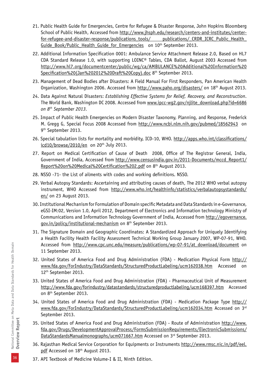- 21. Public Health Guide for Emergencies, Centre for Refugee & Disaster Response, John Hopkins Bloomberg School of Public Health, Accessed from http://www.jhsph.edu/research/centers-and-institutes/centerfor-refugee-and-disaster-response/publications\_tools/ publications/\_CRDR\_ICRC\_Public\_Health Guide\_Book/Public\_Health\_Guide\_for\_Emergencies on 10<sup>th</sup> September 2013.
- 22. Additional Information Specification 0001: Ambulance Service Attachment Release 2.0, Based on HL7 CDA Standard Release 1.0, with supporting LOINC® Tables, CDA Ballot, August 2003 Accessed from http://www.hl7.org/documentcenter/public/wg/ca/AMBULANCE%20Additional%20Information%20 Specification%20(Jan%202012%20Draft%20Copy).doc 8<sup>th</sup> September 2013.
- 23. Management of Dead Bodies after Disasters: A Field Manual For First Responders, Pan American Health Organization, Washington 2006. Accessed from http://www.paho.org/disasters/ on 18<sup>th</sup> August 2013.
- 24. Data Against Natural Disasters: *Establishing Effective Systems for Relief, Recovery, and Reconstruction*. The World Bank, Washington DC 2008. Accessed from www.ipcc-wg2.gov/nilite\_download.php?id=6686 *on 8th September 2013.*
- 25. Impact of Public Health Emergencies on Modern Disaster Taxonomy, Planning, and Response, Frederick M. Gregg G, Special Focus 2008 Accessed from http://www.ncbi.nlm.nih.gov/pubmed/18562943 on 9th September 2013.
- 26. Special tabulation lists for mortality and morbidity, ICD-10, WHO. http://apps.who.int/classifications/  $icd10/browse/2010/en$  on 20<sup>th</sup> July 2013.
- 27. Report on Medical Certification of Cause of Death 2008, Office of The Registrar General, India, Government of India, Accessed from http://www.censusindia.gov.in/2011-Documents/mccd\_Report1/ Report%20on%20Medical%20Certification%202.pdf on 8th August 2013.
- 28. NSSO -71- the List of ailments with codes and working definitions. NSSO.
- 29. Verbal Autopsy Standards: Ascertaining and attributing causes of death, The 2012 WHO verbal autopsy instrument, WHO Accessed from http://www.who.int/healthinfo/statistics/verbalautopsystandards/ en/ on 23 August 2013.
- 30. Institutional Mechanism for Formulation of Domain specific Metadata and Data Standards in e-Governance, eGSI-IM:02, Version 1.0, April 2012, Department of Electronics and Information technology Ministry of Communications and Information Technology Government of India, Accessed from http://egovernance. gov.in/policy/institutional-mechanism on 8th September 2013.
- 31. The Signature Domain and Geographic Coordinates: A Standardized Approach for Uniquely Identifying a Health Facility Health Facility Assessment Technical Working Group January 2007, WP-07-91, WHO. Accessed from http://www.cpc.unc.edu/measure/publications/wp-07-91/at download/document on 11 September 2013.
- 32. United States of America Food and Drug Administration (FDA) Medication Physical Form http:// www.fda.gov/ForIndustry/DataStandards/StructuredProductLabeling/ucm162038.htm Accessed on 12th September 2013.
- 33. United States of America Food and Drug Administration (FDA) Pharmaceutical Unit of Measurement http://www.fda.gov/forindustry/datastandards/structuredproductlabeling/ucm168397.htm Accessed on 8th September 2013.
- 34. United States of America Food and Drug Administration (FDA) Medication Package Type http:// www.fda.gov/ForIndustry/DataStandards/StructuredProductLabeling/ucm162034.htm Accessed on 3rd September 2013.
- 35. United States of America Food and Drug Administration (FDA) Route of Administration http://www. fda.gov/Drugs/DevelopmentApprovalProcess/FormsSubmissionRequirements/ElectronicSubmissions/ DataStandardsManualmonographs/ucm071667.htm Accessed on 3rd September 2013.
- 36. Rajasthan Medical Service Corporation for Equipments or Instruments http://www.rmsc.nic.in/pdf/eel. pdf Accessed on 18<sup>th</sup> August 2013.
- 37. API Textbook of Medicine Volume-I & II, Ninth Edition.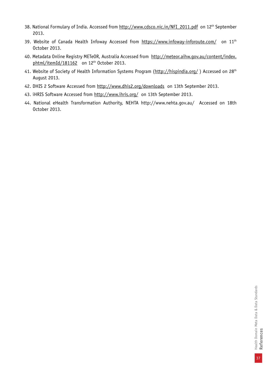- 38. National Formulary of India. Accessed from http://www.cdsco.nic.in/NFI\_2011.pdf on 12<sup>th</sup> September 2013.
- 39. Website of Canada Health Infoway Accessed from https://www.infoway-inforoute.com/ on 11<sup>th</sup> October 2013.
- 40. Metadata Online Registry METeOR, Australia Accessed from http://meteor.aihw.gov.au/content/index. phtml/itemId/181162 on 12<sup>th</sup> October 2013.
- 41. Website of Society of Health Information Systems Program (http://hispindia.org/) Accessed on 28<sup>th</sup> August 2013.
- 42. DHIS 2 Software Accessed from http://www.dhis2.org/downloads on 13th September 2013.
- 43. iHRIS Software Accessed from http://www.ihris.org/ on 13th September 2013.
- 44. National eHealth Transformation Authority, NEHTA http://www.nehta.gov.au/ Accessed on 18th October 2013.